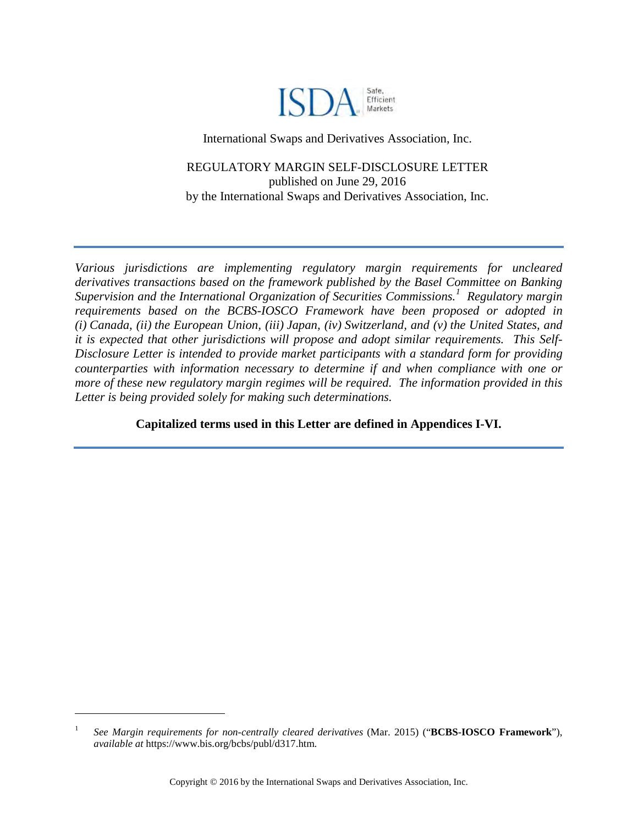

International Swaps and Derivatives Association, Inc.

REGULATORY MARGIN SELF-DISCLOSURE LETTER published on June 29, 2016 by the International Swaps and Derivatives Association, Inc.

*Various jurisdictions are implementing regulatory margin requirements for uncleared derivatives transactions based on the framework published by the Basel Committee on Banking Supervision and the International Organization of Securities Commissions.[1](#page-0-0) Regulatory margin requirements based on the BCBS-IOSCO Framework have been proposed or adopted in (i) Canada, (ii) the European Union, (iii) Japan, (iv) Switzerland, and (v) the United States, and it is expected that other jurisdictions will propose and adopt similar requirements. This Self-Disclosure Letter is intended to provide market participants with a standard form for providing counterparties with information necessary to determine if and when compliance with one or more of these new regulatory margin regimes will be required. The information provided in this Letter is being provided solely for making such determinations.*

**Capitalized terms used in this Letter are defined in Appendices I-VI.** 

<span id="page-0-0"></span><sup>1</sup> *See Margin requirements for non-centrally cleared derivatives* (Mar. 2015) ("**BCBS-IOSCO Framework**"), *available at* https://www.bis.org/bcbs/publ/d317.htm.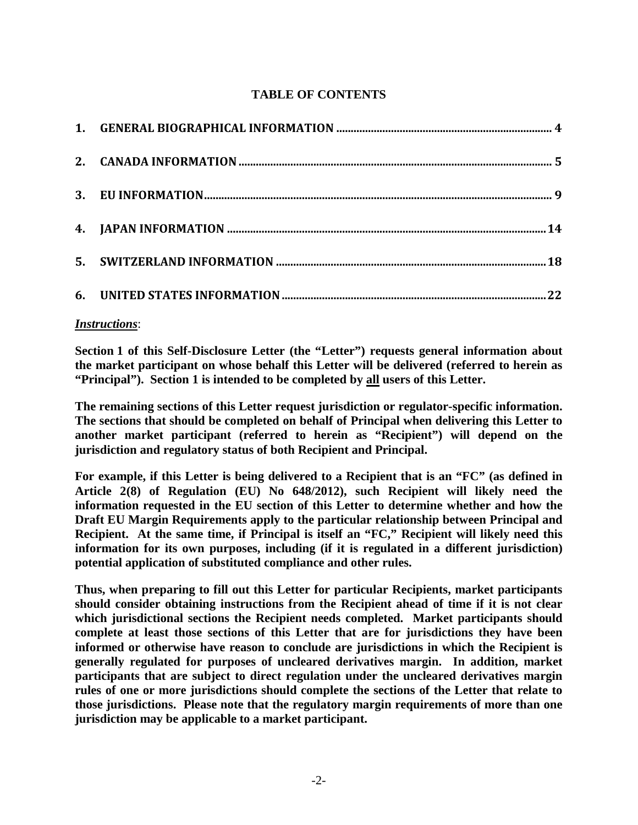# **TABLE OF CONTENTS**

# *Instructions*:

**Section [1](#page-3-0) of this Self-Disclosure Letter (the "Letter") requests general information about the market participant on whose behalf this Letter will be delivered (referred to herein as "Principal"). Section [1](#page-3-0) is intended to be completed by all users of this Letter.** 

**The remaining sections of this Letter request jurisdiction or regulator-specific information. The sections that should be completed on behalf of Principal when delivering this Letter to another market participant (referred to herein as "Recipient") will depend on the jurisdiction and regulatory status of both Recipient and Principal.** 

**For example, if this Letter is being delivered to a Recipient that is an "FC" (as defined in Article 2(8) of Regulation (EU) No 648/2012), such Recipient will likely need the information requested in the EU section of this Letter to determine whether and how the Draft EU Margin Requirements apply to the particular relationship between Principal and Recipient. At the same time, if Principal is itself an "FC," Recipient will likely need this information for its own purposes, including (if it is regulated in a different jurisdiction) potential application of substituted compliance and other rules.** 

**Thus, when preparing to fill out this Letter for particular Recipients, market participants should consider obtaining instructions from the Recipient ahead of time if it is not clear which jurisdictional sections the Recipient needs completed. Market participants should complete at least those sections of this Letter that are for jurisdictions they have been informed or otherwise have reason to conclude are jurisdictions in which the Recipient is generally regulated for purposes of uncleared derivatives margin. In addition, market participants that are subject to direct regulation under the uncleared derivatives margin rules of one or more jurisdictions should complete the sections of the Letter that relate to those jurisdictions. Please note that the regulatory margin requirements of more than one jurisdiction may be applicable to a market participant.**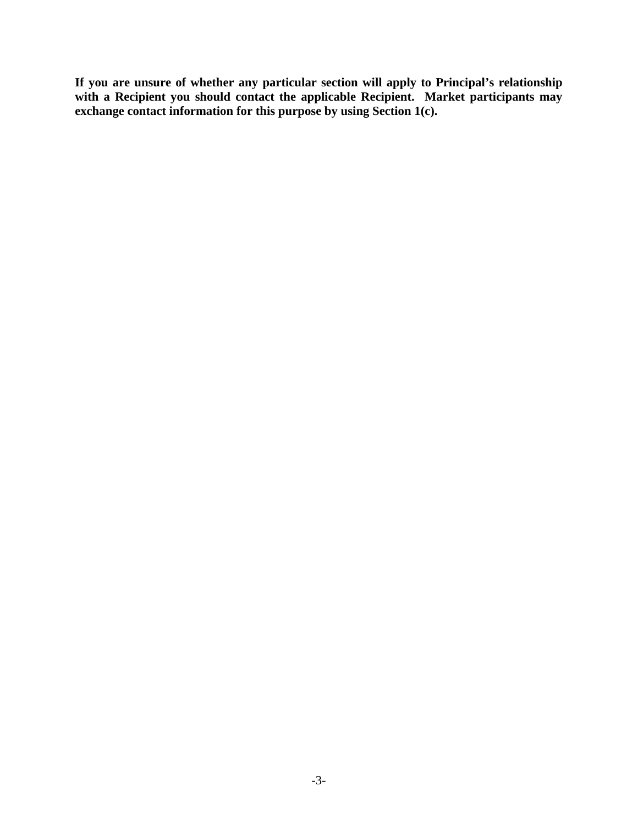**If you are unsure of whether any particular section will apply to Principal's relationship**  with a Recipient you should contact the applicable Recipient. Market participants may **exchange contact information for this purpose by using Section [1\(c\).](#page-3-1)**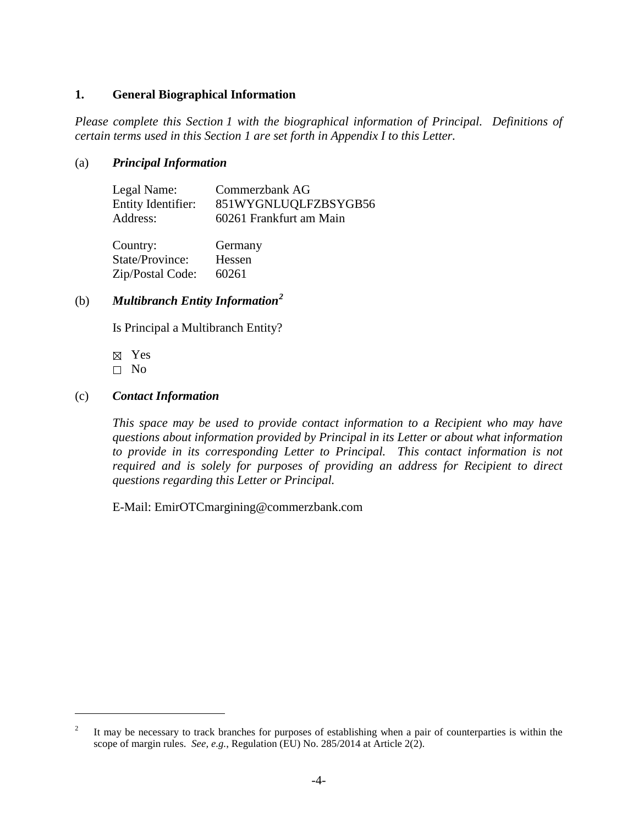### <span id="page-3-0"></span>**1. General Biographical Information**

*Please complete this Section [1](#page-3-0) with the biographical information of Principal. Definitions of certain terms used in this Section [1](#page-3-0) are set forth in Appendix I to this Letter.* 

### (a) *Principal Information*

| Legal Name:        | Commerzbank AG          |
|--------------------|-------------------------|
| Entity Identifier: | 851WYGNLUQLFZBSYGB56    |
| Address:           | 60261 Frankfurt am Main |
|                    |                         |

Country: Germany State/Province: Hessen Zip/Postal Code: 60261

# <span id="page-3-3"></span>(b) *Multibranch Entity Information[2](#page-3-2)*

Is Principal a Multibranch Entity?

Yes

 $\Box$  No

 $\overline{a}$ 

#### <span id="page-3-1"></span>(c) *Contact Information*

*This space may be used to provide contact information to a Recipient who may have questions about information provided by Principal in its Letter or about what information to provide in its corresponding Letter to Principal. This contact information is not required and is solely for purposes of providing an address for Recipient to direct questions regarding this Letter or Principal.*

E-Mail: EmirOTCmargining@commerzbank.com

<span id="page-3-2"></span><sup>2</sup> It may be necessary to track branches for purposes of establishing when a pair of counterparties is within the scope of margin rules. *See, e.g.*, Regulation (EU) No. 285/2014 at Article 2(2).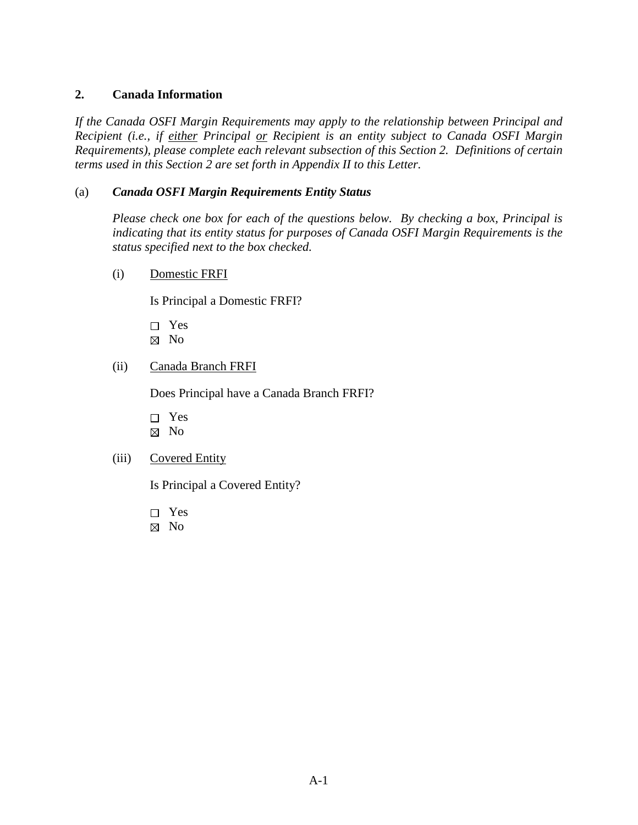# <span id="page-4-0"></span>**2. Canada Information**

*If the Canada OSFI Margin Requirements may apply to the relationship between Principal and Recipient (i.e., if either Principal or Recipient is an entity subject to Canada OSFI Margin Requirements), please complete each relevant subsection of this Section [2.](#page-4-0) Definitions of certain terms used in this Section [2](#page-4-0) are set forth in Appendix II to this Letter.* 

# (a) *Canada OSFI Margin Requirements Entity Status*

*Please check one box for each of the questions below. By checking a box, Principal is indicating that its entity status for purposes of Canada OSFI Margin Requirements is the status specified next to the box checked.*

(i) Domestic FRFI

Is Principal a Domestic FRFI?

- □ Yes
- $\boxtimes$  No
- (ii) Canada Branch FRFI

Does Principal have a Canada Branch FRFI?

□ Yes  $\boxtimes$  No

# (iii) Covered Entity

Is Principal a Covered Entity?

- □ Yes
- No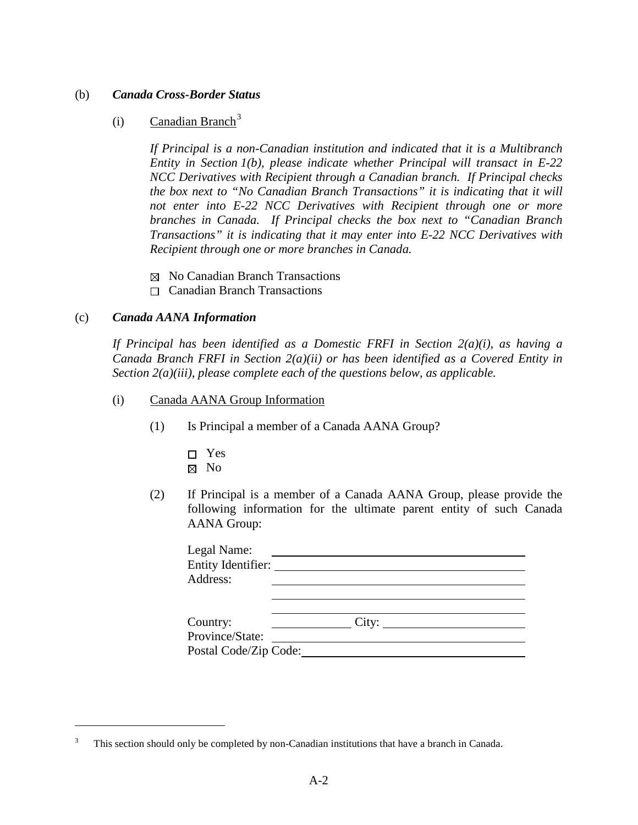#### (b) *Canada Cross-Border Status*

# $(i)$  Canadian Branch<sup>[3](#page-5-0)</sup>

*If Principal is a non-Canadian institution and indicated that it is a Multibranch Entity in Section [1\(b\),](#page-3-3) please indicate whether Principal will transact in E-22 NCC Derivatives with Recipient through a Canadian branch. If Principal checks the box next to "No Canadian Branch Transactions" it is indicating that it will not enter into E-22 NCC Derivatives with Recipient through one or more branches in Canada. If Principal checks the box next to "Canadian Branch Transactions" it is indicating that it may enter into E-22 NCC Derivatives with Recipient through one or more branches in Canada.* 

- $\boxtimes$  No Canadian Branch Transactions
- Canadian Branch Transactions

#### (c) *Canada AANA Information*

 $\overline{a}$ 

*If Principal has been identified as a Domestic FRFI in Section 2(a)(i), as having a Canada Branch FRFI in Section 2(a)(ii) or has been identified as a Covered Entity in Section 2(a)(iii), please complete each of the questions below, as applicable.*

- (i) Canada AANA Group Information
	- (1) Is Principal a member of a Canada AANA Group?
		- Yes
		- ⊠ No
	- (2) If Principal is a member of a Canada AANA Group, please provide the following information for the ultimate parent entity of such Canada AANA Group:

| Legal Name:<br>Entity Identifier:<br>Address:        |       |  |
|------------------------------------------------------|-------|--|
| Country:<br>Province/State:<br>Postal Code/Zip Code: | City: |  |

<span id="page-5-0"></span><sup>3</sup> This section should only be completed by non-Canadian institutions that have a branch in Canada.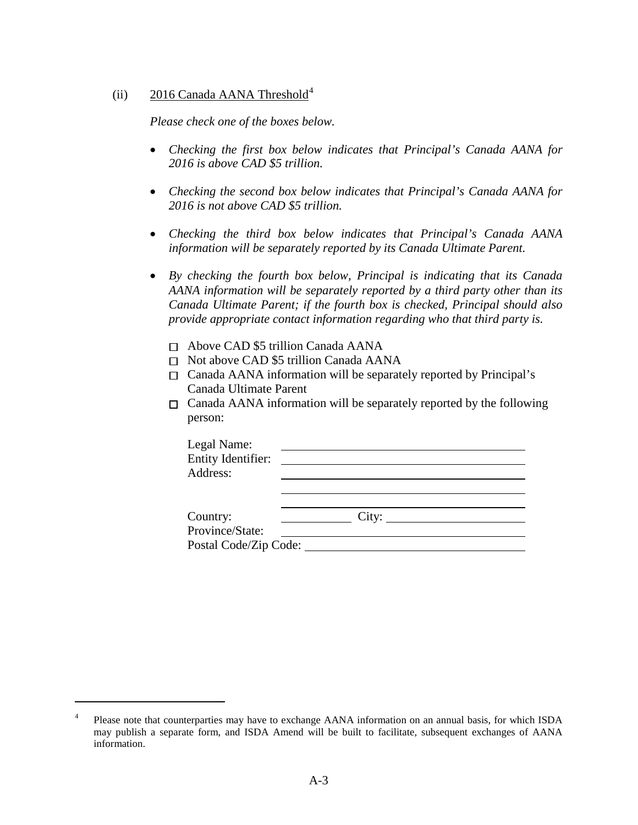## (ii) 2016 Canada AANA Threshold<sup>[4](#page-6-0)</sup>

*Please check one of the boxes below.*

- *Checking the first box below indicates that Principal's Canada AANA for 2016 is above CAD \$5 trillion.*
- *Checking the second box below indicates that Principal's Canada AANA for 2016 is not above CAD \$5 trillion.*
- *Checking the third box below indicates that Principal's Canada AANA information will be separately reported by its Canada Ultimate Parent.*
- *By checking the fourth box below, Principal is indicating that its Canada AANA information will be separately reported by a third party other than its Canada Ultimate Parent; if the fourth box is checked, Principal should also provide appropriate contact information regarding who that third party is.*
	- $\Box$  Above CAD \$5 trillion Canada AANA
	- □ Not above CAD \$5 trillion Canada AANA
	- $\Box$  Canada AANA information will be separately reported by Principal's Canada Ultimate Parent
	- $\Box$  Canada AANA information will be separately reported by the following person:

| Legal Name:<br><b>Entity Identifier:</b> |       |  |
|------------------------------------------|-------|--|
| Address:                                 |       |  |
|                                          |       |  |
| Country:                                 | City: |  |
| Province/State:                          |       |  |
|                                          |       |  |

<span id="page-6-0"></span><sup>&</sup>lt;sup>4</sup> Please note that counterparties may have to exchange AANA information on an annual basis, for which ISDA may publish a separate form, and ISDA Amend will be built to facilitate, subsequent exchanges of AANA information.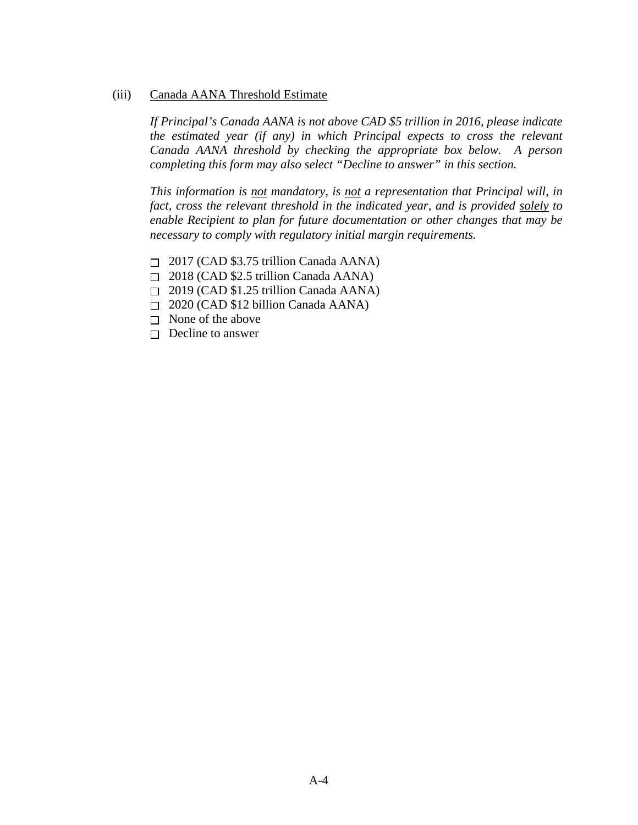(iii) Canada AANA Threshold Estimate

*If Principal's Canada AANA is not above CAD \$5 trillion in 2016, please indicate the estimated year (if any) in which Principal expects to cross the relevant Canada AANA threshold by checking the appropriate box below. A person completing this form may also select "Decline to answer" in this section.* 

*This information is not mandatory, is not a representation that Principal will, in fact, cross the relevant threshold in the indicated year, and is provided solely to enable Recipient to plan for future documentation or other changes that may be necessary to comply with regulatory initial margin requirements.*

- $\Box$  2017 (CAD \$3.75 trillion Canada AANA)
- $\Box$  2018 (CAD \$2.5 trillion Canada AANA)
- $\Box$  2019 (CAD \$1.25 trillion Canada AANA)
- $\Box$  2020 (CAD \$12 billion Canada AANA)
- $\Box$  None of the above
- $\Box$  Decline to answer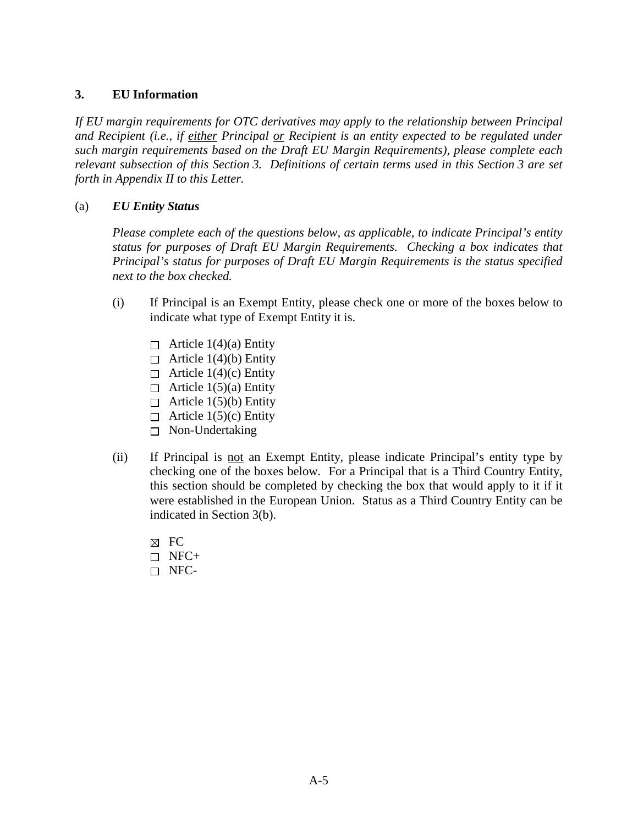## <span id="page-8-0"></span>**3. EU Information**

*If EU margin requirements for OTC derivatives may apply to the relationship between Principal and Recipient (i.e., if either Principal or Recipient is an entity expected to be regulated under such margin requirements based on the Draft EU Margin Requirements), please complete each relevant subsection of this Section [3.](#page-8-0) Definitions of certain terms used in this Section [3](#page-8-0) are set forth in Appendix II to this Letter.* 

# (a) *EU Entity Status*

*Please complete each of the questions below, as applicable, to indicate Principal's entity status for purposes of Draft EU Margin Requirements. Checking a box indicates that Principal's status for purposes of Draft EU Margin Requirements is the status specified next to the box checked.*

- (i) If Principal is an Exempt Entity, please check one or more of the boxes below to indicate what type of Exempt Entity it is.
	- $\Box$  Article 1(4)(a) Entity
	- $\Box$  Article 1(4)(b) Entity
	- $\Box$  Article 1(4)(c) Entity
	- $\Box$  Article 1(5)(a) Entity
	- $\Box$  Article 1(5)(b) Entity
	- $\Box$  Article 1(5)(c) Entity
	- □ Non-Undertaking
- <span id="page-8-2"></span><span id="page-8-1"></span>(ii) If Principal is not an Exempt Entity, please indicate Principal's entity type by checking one of the boxes below. For a Principal that is a Third Country Entity, this section should be completed by checking the box that would apply to it if it were established in the European Union. Status as a Third Country Entity can be indicated in Section [3\(b\).](#page-8-1)
	- $R$  FC  $\Box$  NFC+
	- NFC-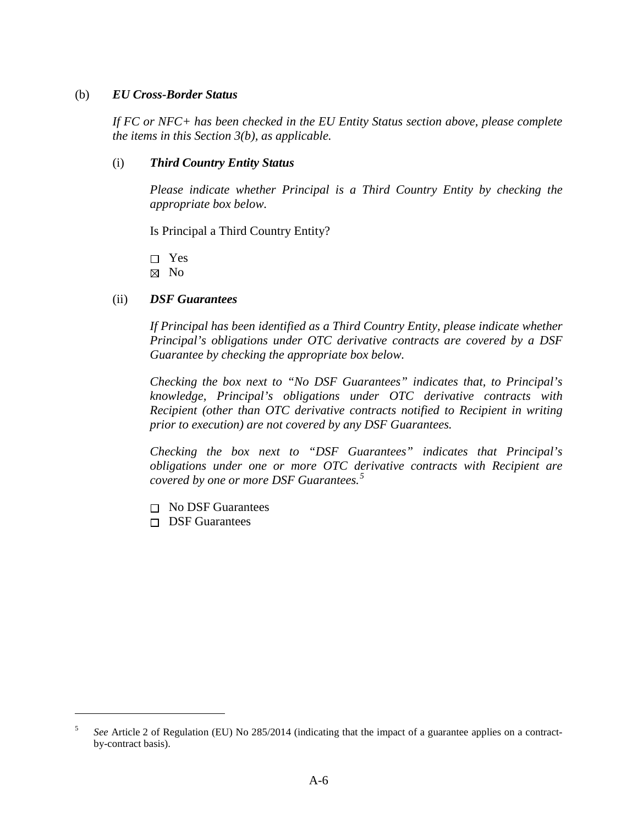#### (b) *EU Cross-Border Status*

*If FC or NFC+ has been checked in the EU Entity Status section above, please complete the items in this Section [3\(b\),](#page-8-1) as applicable.* 

### <span id="page-9-1"></span>(i) *Third Country Entity Status*

*Please indicate whether Principal is a Third Country Entity by checking the appropriate box below.* 

Is Principal a Third Country Entity?

□ Yes

 $\boxtimes$  No

## (ii) *DSF Guarantees*

*If Principal has been identified as a Third Country Entity, please indicate whether Principal's obligations under OTC derivative contracts are covered by a DSF Guarantee by checking the appropriate box below.* 

*Checking the box next to "No DSF Guarantees" indicates that, to Principal's knowledge, Principal's obligations under OTC derivative contracts with Recipient (other than OTC derivative contracts notified to Recipient in writing prior to execution) are not covered by any DSF Guarantees.*

*Checking the box next to "DSF Guarantees" indicates that Principal's obligations under one or more OTC derivative contracts with Recipient are covered by one or more DSF Guarantees.[5](#page-9-0)*

- $\Box$  No DSF Guarantees
- $\Box$  DSF Guarantees

<span id="page-9-0"></span><sup>5</sup> *See* Article 2 of [Regulation \(EU\) No 285/2014](http://eur-lex.europa.eu/legal-content/EN/TXT/?uri=CELEX:32014R0285) (indicating that the impact of a guarantee applies on a contractby-contract basis).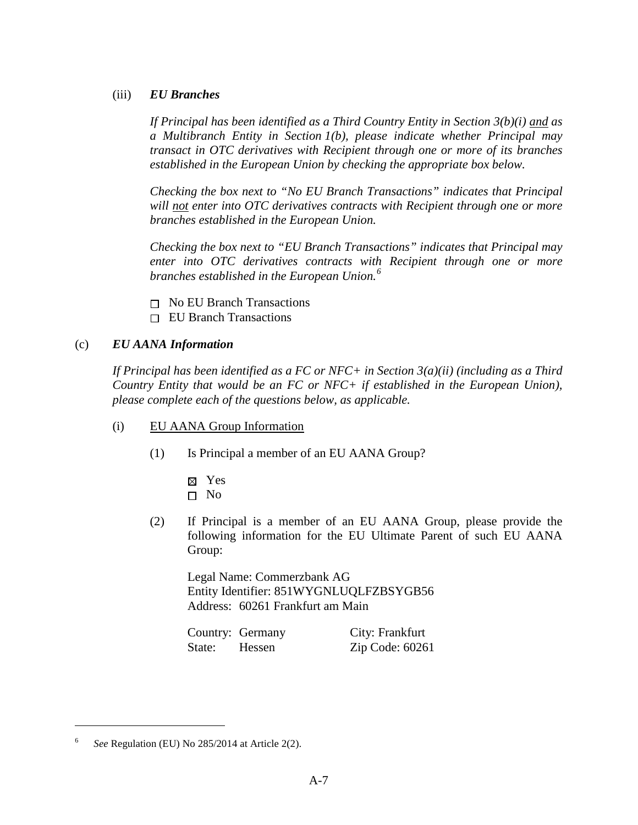## (iii) *EU Branches*

*If Principal has been identified as a Third Country Entity in Section [3\(b\)\(i\)](#page-9-1) and as a Multibranch Entity in Section [1\(b\),](#page-3-3) please indicate whether Principal may transact in OTC derivatives with Recipient through one or more of its branches established in the European Union by checking the appropriate box below.* 

*Checking the box next to "No EU Branch Transactions" indicates that Principal will not enter into OTC derivatives contracts with Recipient through one or more branches established in the European Union.* 

*Checking the box next to "EU Branch Transactions" indicates that Principal may enter into OTC derivatives contracts with Recipient through one or more branches established in the European Union.[6](#page-10-0)*

- $\Box$  No EU Branch Transactions
- □ EU Branch Transactions

# (c) *EU AANA Information*

*If Principal has been identified as a FC or NFC+ in Section [3\(a\)\(ii\)](#page-8-2) (including as a Third Country Entity that would be an FC or NFC+ if established in the European Union), please complete each of the questions below, as applicable.* 

- (i) EU AANA Group Information
	- (1) Is Principal a member of an EU AANA Group?
		- Yes  $\Box$  No
	- (2) If Principal is a member of an EU AANA Group, please provide the following information for the EU Ultimate Parent of such EU AANA Group:

Legal Name: Commerzbank AG Entity Identifier: 851WYGNLUQLFZBSYGB56 Address: 60261 Frankfurt am Main

|        | Country: Germany | City: Frankfurt |
|--------|------------------|-----------------|
| State: | Hessen           | Zip Code: 60261 |

<span id="page-10-0"></span><sup>6</sup> *See* Regulation (EU) No 285/2014 at Article 2(2).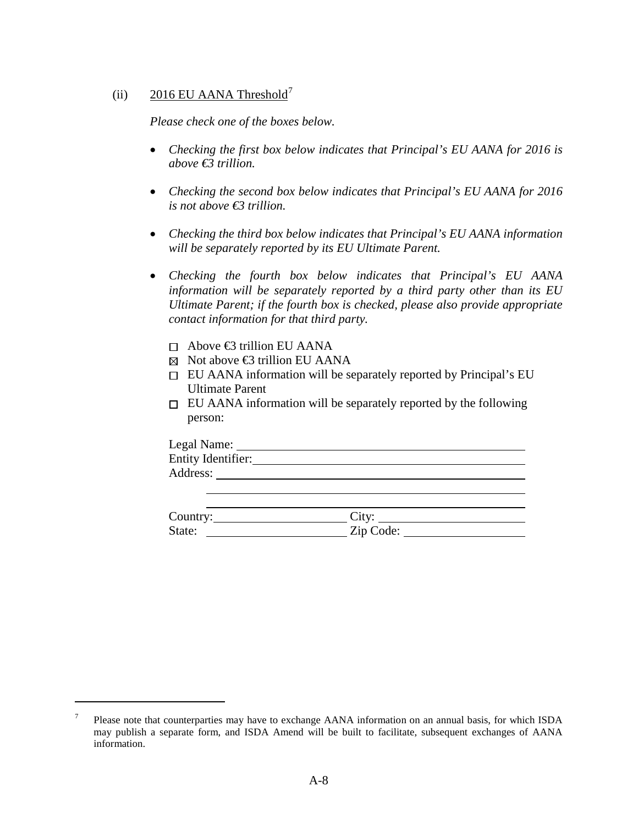# (ii) 2016 EU AANA Threshold<sup>[7](#page-11-0)</sup>

*Please check one of the boxes below.*

- *Checking the first box below indicates that Principal's EU AANA for 2016 is above €3 trillion.*
- *Checking the second box below indicates that Principal's EU AANA for 2016 is not above €3 trillion.*
- *Checking the third box below indicates that Principal's EU AANA information will be separately reported by its EU Ultimate Parent.*
- *Checking the fourth box below indicates that Principal's EU AANA information will be separately reported by a third party other than its EU Ultimate Parent; if the fourth box is checked, please also provide appropriate contact information for that third party.*
	- $\Box$  Above  $\bigoplus$  trillion EU AANA

- $\boxtimes$  Not above  $\bigoplus$  trillion EU AANA
- EU AANA information will be separately reported by Principal's EU Ultimate Parent
- $\Box$  EU AANA information will be separately reported by the following person:

| Legal Name:        |  |  |
|--------------------|--|--|
| Entity Identifier: |  |  |
| Address:           |  |  |
|                    |  |  |

<span id="page-11-1"></span>

| Country: | $Cl$ tv   |
|----------|-----------|
| State:   | Zip Code: |

<span id="page-11-0"></span><sup>&</sup>lt;sup>7</sup> Please note that counterparties may have to exchange AANA information on an annual basis, for which ISDA may publish a separate form, and ISDA Amend will be built to facilitate, subsequent exchanges of AANA information.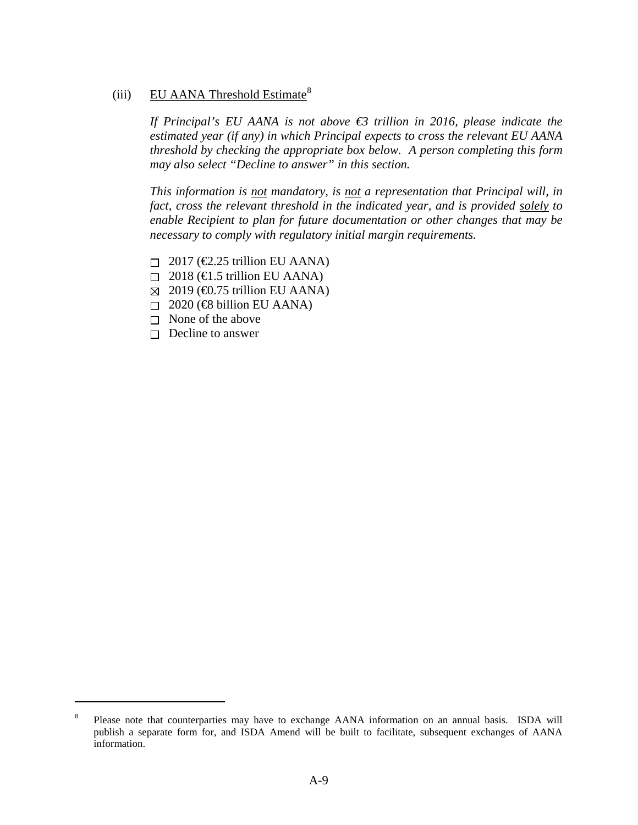# (iii) EU AANA Threshold Estimate<sup>[8](#page-12-0)</sup>

*If Principal's EU AANA is not above €3 trillion in 2016, please indicate the estimated year (if any) in which Principal expects to cross the relevant EU AANA threshold by checking the appropriate box below. A person completing this form may also select "Decline to answer" in this section.*

*This information is not mandatory, is not a representation that Principal will, in fact, cross the relevant threshold in the indicated year, and is provided solely to enable Recipient to plan for future documentation or other changes that may be necessary to comply with regulatory initial margin requirements.* 

- $\Box$  2017 ( $\bigoplus$ .25 trillion EU AANA)
- $\Box$  2018 ( $\bigoplus$ .5 trillion EU AANA)
- $\boxtimes$  2019 ( $\bigoplus$ .75 trillion EU AANA)
- $\Box$  2020 ( $\bigoplus$  billion EU AANA)
- $\Box$  None of the above
- $\Box$  Decline to answer

<span id="page-12-0"></span><sup>&</sup>lt;sup>8</sup> Please note that counterparties may have to exchange AANA information on an annual basis. ISDA will publish a separate form for, and ISDA Amend will be built to facilitate, subsequent exchanges of AANA information.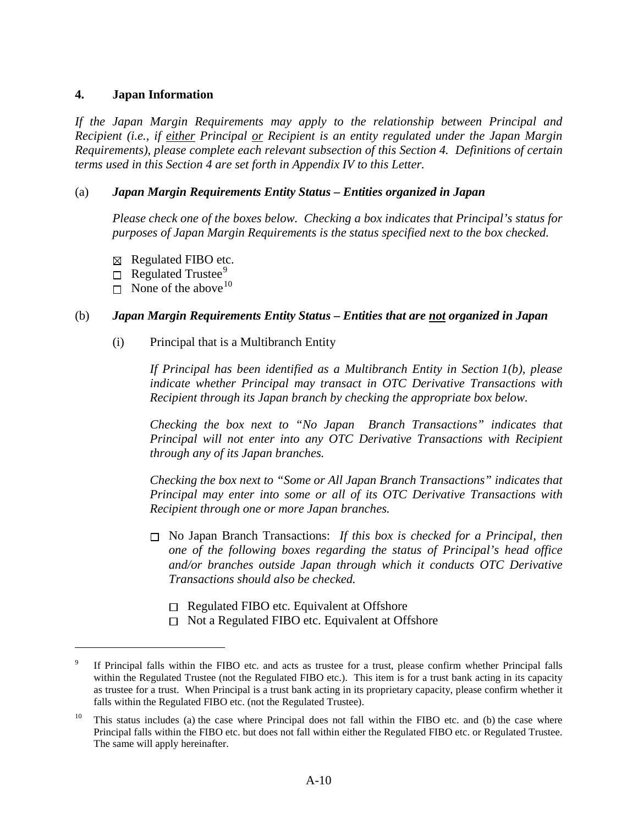#### <span id="page-13-0"></span>**4. Japan Information**

*If the Japan Margin Requirements may apply to the relationship between Principal and Recipient (i.e., if either Principal or Recipient is an entity regulated under the Japan Margin Requirements), please complete each relevant subsection of this Section [4.](#page-13-0) Definitions of certain terms used in this Section [4](#page-13-0) are set forth in Appendix IV to this Letter.* 

# (a) *Japan Margin Requirements Entity Status – Entities organized in Japan*

*Please check one of the boxes below. Checking a box indicates that Principal's status for purposes of Japan Margin Requirements is the status specified next to the box checked.*

- $\boxtimes$  Regulated FIBO etc.
- $\Box$  Regulated Trustee<sup>[9](#page-13-1)</sup>
- $\Box$  None of the above <sup>[10](#page-13-2)</sup>

 $\overline{a}$ 

## (b) *Japan Margin Requirements Entity Status – Entities that are not organized in Japan*

(i) Principal that is a Multibranch Entity

*If Principal has been identified as a Multibranch Entity in Section [1\(b\),](#page-3-3) please indicate whether Principal may transact in OTC Derivative Transactions with Recipient through its Japan branch by checking the appropriate box below.* 

*Checking the box next to "No Japan Branch Transactions" indicates that Principal will not enter into any OTC Derivative Transactions with Recipient through any of its Japan branches.* 

*Checking the box next to "Some or All Japan Branch Transactions" indicates that Principal may enter into some or all of its OTC Derivative Transactions with Recipient through one or more Japan branches.* 

- No Japan Branch Transactions: *If this box is checked for a Principal, then one of the following boxes regarding the status of Principal's head office and/or branches outside Japan through which it conducts OTC Derivative Transactions should also be checked.* 
	- $\Box$  Regulated FIBO etc. Equivalent at Offshore
	- $\Box$  Not a Regulated FIBO etc. Equivalent at Offshore

<span id="page-13-1"></span>If Principal falls within the FIBO etc. and acts as trustee for a trust, please confirm whether Principal falls within the Regulated Trustee (not the Regulated FIBO etc.). This item is for a trust bank acting in its capacity as trustee for a trust. When Principal is a trust bank acting in its proprietary capacity, please confirm whether it falls within the Regulated FIBO etc. (not the Regulated Trustee).

<span id="page-13-2"></span><sup>&</sup>lt;sup>10</sup> This status includes (a) the case where Principal does not fall within the FIBO etc. and (b) the case where Principal falls within the FIBO etc. but does not fall within either the Regulated FIBO etc. or Regulated Trustee. The same will apply hereinafter.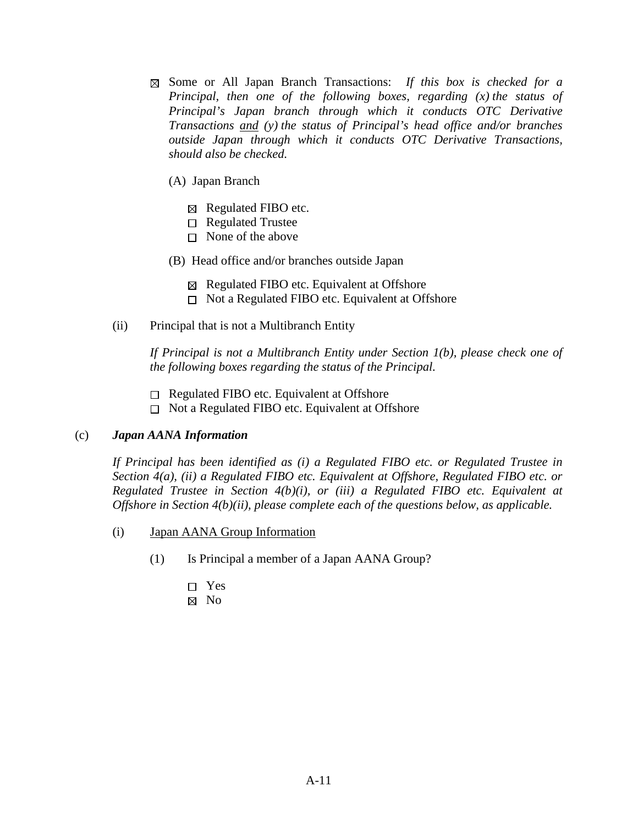- Some or All Japan Branch Transactions: *If this box is checked for a Principal, then one of the following boxes, regarding (x) the status of Principal's Japan branch through which it conducts OTC Derivative Transactions and (y) the status of Principal's head office and/or branches outside Japan through which it conducts OTC Derivative Transactions, should also be checked.* 
	- (A) Japan Branch
		- $\boxtimes$  Regulated FIBO etc.
		- $\Box$  Regulated Trustee
		- $\Box$  None of the above
	- (B) Head office and/or branches outside Japan
		- $\boxtimes$  Regulated FIBO etc. Equivalent at Offshore
		- $\Box$  Not a Regulated FIBO etc. Equivalent at Offshore
- (ii) Principal that is not a Multibranch Entity

*If Principal is not a Multibranch Entity under Section 1(b), please check one of the following boxes regarding the status of the Principal.* 

- $\Box$  Regulated FIBO etc. Equivalent at Offshore
- $\Box$  Not a Regulated FIBO etc. Equivalent at Offshore

#### (c) *Japan AANA Information*

*If Principal has been identified as (i) a Regulated FIBO etc. or Regulated Trustee in Section 4(a), (ii) a Regulated FIBO etc. Equivalent at Offshore, Regulated FIBO etc. or Regulated Trustee in Section 4(b)(i), or (iii) a Regulated FIBO etc. Equivalent at Offshore in Section 4(b)(ii), please complete each of the questions below, as applicable.* 

- (i) Japan AANA Group Information
	- (1) Is Principal a member of a Japan AANA Group?
		- Yes
		- $\boxtimes$  No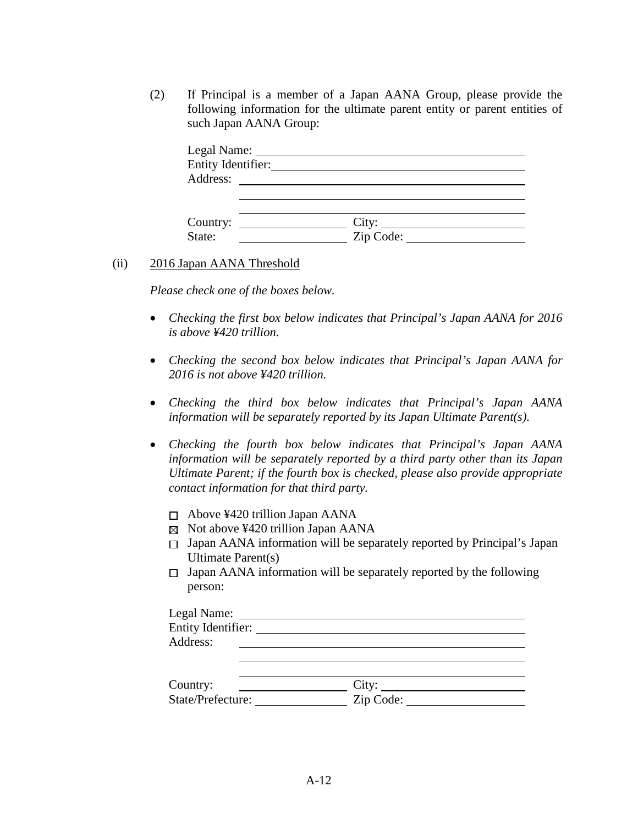(2) If Principal is a member of a Japan AANA Group, please provide the following information for the ultimate parent entity or parent entities of such Japan AANA Group:

| Entity Identifier: |           |  |
|--------------------|-----------|--|
| Address:           |           |  |
|                    |           |  |
|                    |           |  |
|                    |           |  |
| State:             | Zip Code: |  |

#### (ii) 2016 Japan AANA Threshold

*Please check one of the boxes below.*

- *Checking the first box below indicates that Principal's Japan AANA for 2016 is above ¥420 trillion.*
- *Checking the second box below indicates that Principal's Japan AANA for 2016 is not above ¥420 trillion.*
- *Checking the third box below indicates that Principal's Japan AANA information will be separately reported by its Japan Ultimate Parent(s).*
- *Checking the fourth box below indicates that Principal's Japan AANA information will be separately reported by a third party other than its Japan Ultimate Parent; if the fourth box is checked, please also provide appropriate contact information for that third party.*
	- $\Box$  Above ¥420 trillion Japan AANA
	- $\boxtimes$  Not above ¥420 trillion Japan AANA
	- $\Box$  Japan AANA information will be separately reported by Principal's Japan Ultimate Parent(s)
	- $\Box$  Japan AANA information will be separately reported by the following person: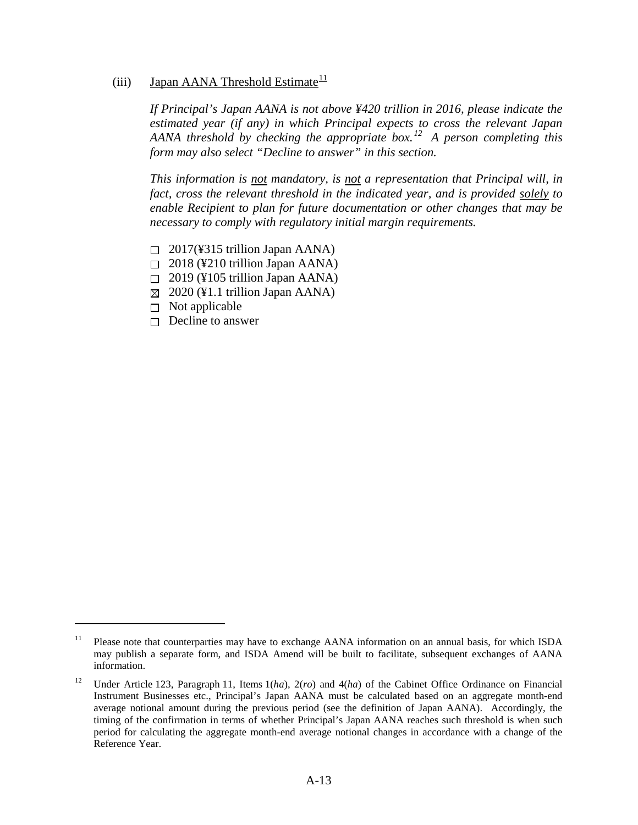# <span id="page-16-2"></span>(iii) Japan AANA Threshold Estimate $\frac{11}{11}$  $\frac{11}{11}$  $\frac{11}{11}$

*If Principal's Japan AANA is not above ¥420 trillion in 2016, please indicate the estimated year (if any) in which Principal expects to cross the relevant Japan AANA threshold by checking the appropriate box. [12](#page-16-1) A person completing this form may also select "Decline to answer" in this section.* 

*This information is not mandatory, is not a representation that Principal will, in fact, cross the relevant threshold in the indicated year, and is provided solely to enable Recipient to plan for future documentation or other changes that may be necessary to comply with regulatory initial margin requirements.* 

- $\Box$  2017(¥315 trillion Japan AANA)
- $\Box$  2018 (¥210 trillion Japan AANA)
- $\Box$  2019 (¥105 trillion Japan AANA)
- $\boxtimes$  2020 (¥1.1 trillion Japan AANA)
- $\Box$  Not applicable

 $\overline{a}$ 

 $\Box$  Decline to answer

<span id="page-16-0"></span><sup>&</sup>lt;sup>11</sup> Please note that counterparties may have to exchange AANA information on an annual basis, for which ISDA may publish a separate form, and ISDA Amend will be built to facilitate, subsequent exchanges of AANA information.

<span id="page-16-1"></span><sup>12</sup> Under Article 123, Paragraph 11, Items 1(*ha*), 2(*ro*) and 4(*ha*) of the Cabinet Office Ordinance on Financial Instrument Businesses etc., Principal's Japan AANA must be calculated based on an aggregate month-end average notional amount during the previous period (see the definition of Japan AANA). Accordingly, the timing of the confirmation in terms of whether Principal's Japan AANA reaches such threshold is when such period for calculating the aggregate month-end average notional changes in accordance with a change of the Reference Year.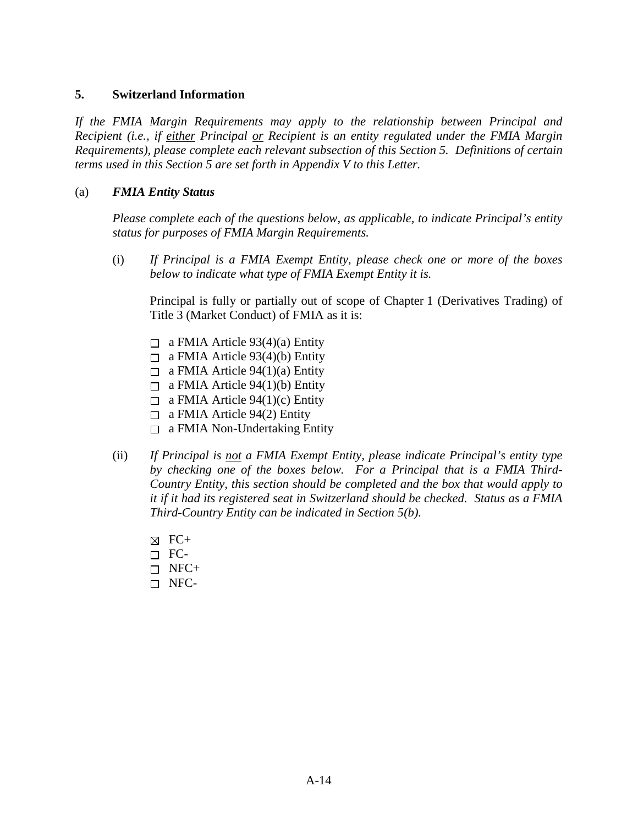## <span id="page-17-0"></span>**5. Switzerland Information**

*If the FMIA Margin Requirements may apply to the relationship between Principal and Recipient (i.e., if either Principal or Recipient is an entity regulated under the FMIA Margin Requirements), please complete each relevant subsection of this Section [5.](#page-17-0) Definitions of certain terms used in this Section [5](#page-17-0) are set forth in Appendix V to this Letter.* 

## <span id="page-17-2"></span>(a) *FMIA Entity Status*

*Please complete each of the questions below, as applicable, to indicate Principal's entity status for purposes of FMIA Margin Requirements.* 

(i) *If Principal is a FMIA Exempt Entity, please check one or more of the boxes below to indicate what type of FMIA Exempt Entity it is.*

Principal is fully or partially out of scope of Chapter 1 (Derivatives Trading) of Title 3 (Market Conduct) of FMIA as it is:

- $\Box$  a FMIA Article 93(4)(a) Entity
- $\Box$  a FMIA Article 93(4)(b) Entity
- $\Box$  a FMIA Article 94(1)(a) Entity
- $\Box$  a FMIA Article 94(1)(b) Entity
- $\Box$  a FMIA Article 94(1)(c) Entity
- $\Box$  a FMIA Article 94(2) Entity
- $\Box$  a FMIA Non-Undertaking Entity
- <span id="page-17-1"></span>(ii) *If Principal is not a FMIA Exempt Entity, please indicate Principal's entity type by checking one of the boxes below. For a Principal that is a FMIA Third-Country Entity, this section should be completed and the box that would apply to it if it had its registered seat in Switzerland should be checked. Status as a FMIA Third-Country Entity can be indicated in Section [5\(b\).](#page-17-1)* 
	- $\boxtimes$  FC+
	- $\Box$  FC-
	- $\Box$  NFC+
	- NFC-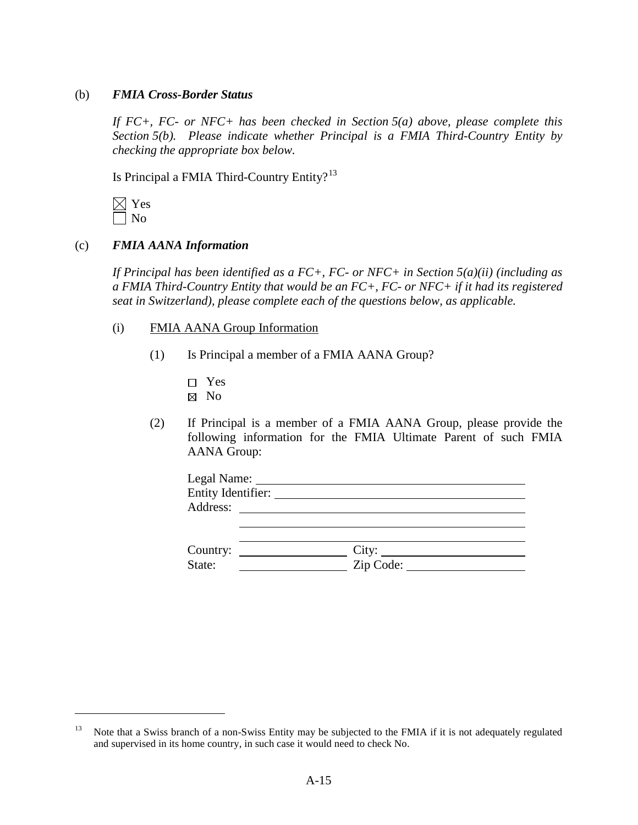#### (b) *FMIA Cross-Border Status*

*If FC+, FC- or NFC+ has been checked in Section [5\(a\)](#page-17-2) above, please complete this Section [5\(b\).](#page-17-1) Please indicate whether Principal is a FMIA Third-Country Entity by checking the appropriate box below.* 

Is Principal a FMIA Third-Country Entity? $13$ 

 $\overline{a}$ 

#### (c) *FMIA AANA Information*

*If Principal has been identified as a FC+, FC- or NFC+ in Section [5\(a\)\(](#page-17-2)ii) (including as a FMIA Third-Country Entity that would be an FC+, FC- or NFC+ if it had its registered seat in Switzerland), please complete each of the questions below, as applicable.* 

- (i) FMIA AANA Group Information
	- (1) Is Principal a member of a FMIA AANA Group?
		- Yes
		- ⊠ No
	- (2) If Principal is a member of a FMIA AANA Group, please provide the following information for the FMIA Ultimate Parent of such FMIA AANA Group:

| Legal Name: _______                                                                                                                                                                                                                              |                                 |  |
|--------------------------------------------------------------------------------------------------------------------------------------------------------------------------------------------------------------------------------------------------|---------------------------------|--|
| Entity Identifier:                                                                                                                                                                                                                               |                                 |  |
| Address:                                                                                                                                                                                                                                         |                                 |  |
|                                                                                                                                                                                                                                                  |                                 |  |
|                                                                                                                                                                                                                                                  |                                 |  |
| Country:<br><u>and the community of the community of the community of the community of the community of the community of the community of the community of the community of the community of the community of the community of the community</u> | City:                           |  |
| State:                                                                                                                                                                                                                                           | $\overline{\mathrm{Zip Code:}}$ |  |

<span id="page-18-0"></span><sup>&</sup>lt;sup>13</sup> Note that a Swiss branch of a non-Swiss Entity may be subjected to the FMIA if it is not adequately regulated and supervised in its home country, in such case it would need to check No.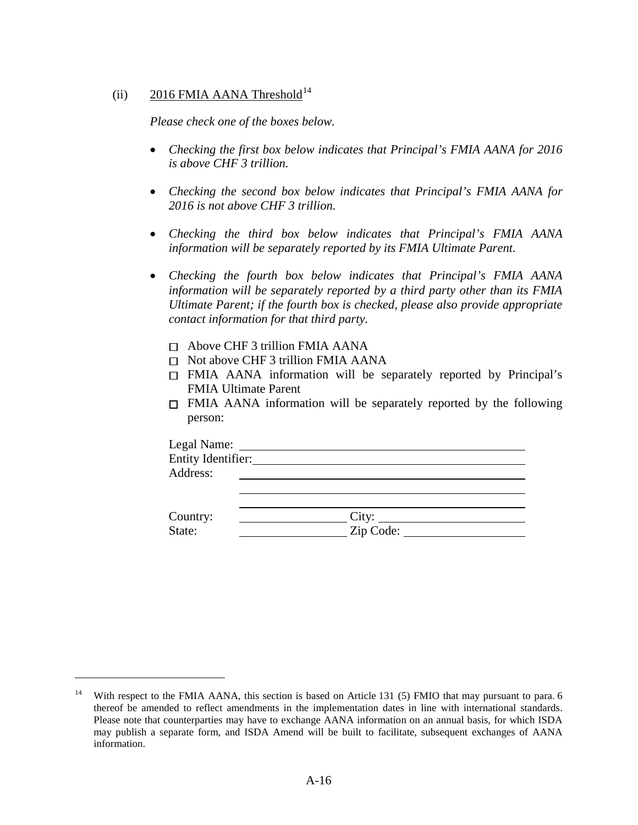# (ii) 2016 FMIA AANA Threshold<sup>[14](#page-19-0)</sup>

*Please check one of the boxes below.*

- *Checking the first box below indicates that Principal's FMIA AANA for 2016 is above CHF 3 trillion.*
- *Checking the second box below indicates that Principal's FMIA AANA for 2016 is not above CHF 3 trillion.*
- *Checking the third box below indicates that Principal's FMIA AANA information will be separately reported by its FMIA Ultimate Parent.*
- *Checking the fourth box below indicates that Principal's FMIA AANA information will be separately reported by a third party other than its FMIA Ultimate Parent; if the fourth box is checked, please also provide appropriate contact information for that third party.*
	- $\Box$  Above CHF 3 trillion FMIA AANA
	- $\Box$  Not above CHF 3 trillion FMIA AANA
	- FMIA AANA information will be separately reported by Principal's FMIA Ultimate Parent
	- $\Box$  FMIA AANA information will be separately reported by the following person:

| Legal Name:        |  |  |
|--------------------|--|--|
| Entity Identifier: |  |  |
| Address:           |  |  |
|                    |  |  |
|                    |  |  |

<span id="page-19-1"></span>

| Country: | $\mathcal{L}1\mathcal{U}$ |
|----------|---------------------------|
| State:   | Zip Code:                 |

<span id="page-19-0"></span>With respect to the FMIA AANA, this section is based on Article 131 (5) FMIO that may pursuant to para. 6 thereof be amended to reflect amendments in the implementation dates in line with international standards. Please note that counterparties may have to exchange AANA information on an annual basis, for which ISDA may publish a separate form, and ISDA Amend will be built to facilitate, subsequent exchanges of AANA information.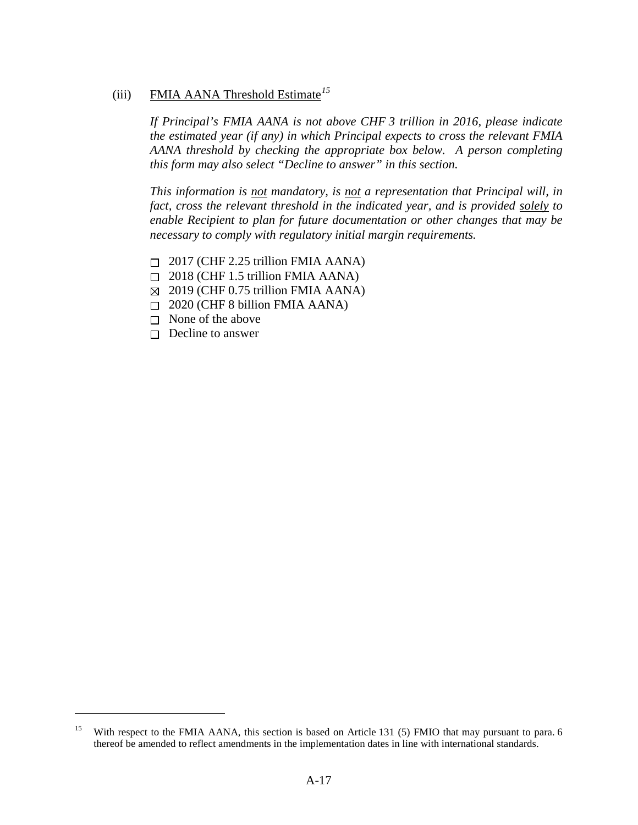# (iii) FMIA AANA Threshold Estimate*[15](#page-20-0)*

*If Principal's FMIA AANA is not above CHF 3 trillion in 2016, please indicate the estimated year (if any) in which Principal expects to cross the relevant FMIA AANA threshold by checking the appropriate box below. A person completing this form may also select "Decline to answer" in this section.* 

*This information is not mandatory, is not a representation that Principal will, in fact, cross the relevant threshold in the indicated year, and is provided solely to enable Recipient to plan for future documentation or other changes that may be necessary to comply with regulatory initial margin requirements.* 

- $\Box$  2017 (CHF 2.25 trillion FMIA AANA)
- $\Box$  2018 (CHF 1.5 trillion FMIA AANA)
- $\boxtimes$  2019 (CHF 0.75 trillion FMIA AANA)
- $\Box$  2020 (CHF 8 billion FMIA AANA)
- $\Box$  None of the above
- $\Box$  Decline to answer

<span id="page-20-0"></span><sup>&</sup>lt;sup>15</sup> With respect to the FMIA AANA, this section is based on Article 131 (5) FMIO that may pursuant to para. 6 thereof be amended to reflect amendments in the implementation dates in line with international standards.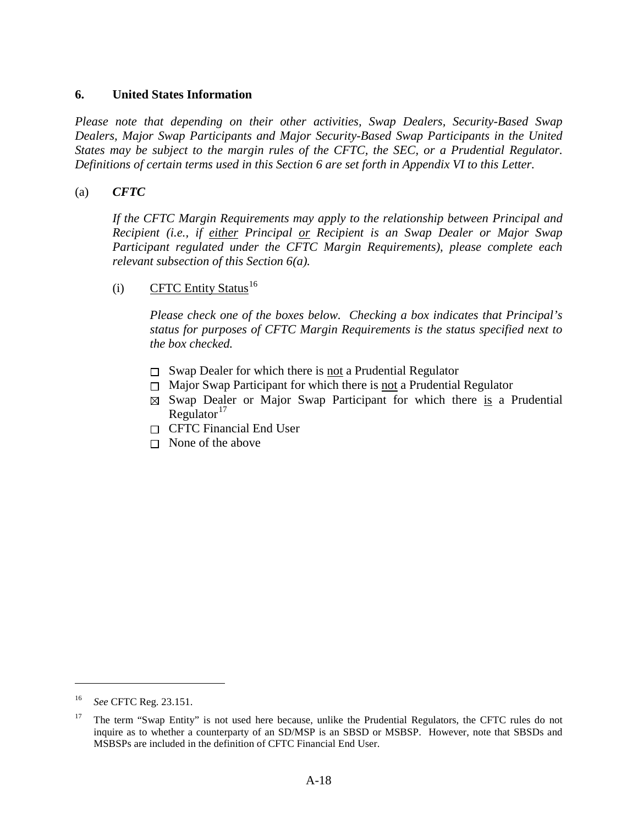## <span id="page-21-0"></span>**6. United States Information**

*Please note that depending on their other activities, Swap Dealers, Security-Based Swap Dealers, Major Swap Participants and Major Security-Based Swap Participants in the United States may be subject to the margin rules of the CFTC, the SEC, or a Prudential Regulator. Definitions of certain terms used in this Section [6](#page-21-0) are set forth in Appendix VI to this Letter.* 

## <span id="page-21-1"></span>(a) *CFTC*

*If the CFTC Margin Requirements may apply to the relationship between Principal and Recipient (i.e., if either Principal or Recipient is an Swap Dealer or Major Swap Participant regulated under the CFTC Margin Requirements), please complete each relevant subsection of this Section [6\(a\).](#page-21-1)* 

## <span id="page-21-4"></span>(i) CFTC Entity Status<sup>[16](#page-21-2)</sup>

*Please check one of the boxes below. Checking a box indicates that Principal's status for purposes of CFTC Margin Requirements is the status specified next to the box checked.*

- $\Box$  Swap Dealer for which there is <u>not</u> a Prudential Regulator
- $\Box$  Major Swap Participant for which there is not a Prudential Regulator
- $\boxtimes$  Swap Dealer or Major Swap Participant for which there is a Prudential Regulator $17$
- $\Box$  CFTC Financial End User
- $\Box$  None of the above

<span id="page-21-2"></span><sup>16</sup> *See* CFTC Reg. 23.151.

<span id="page-21-3"></span><sup>&</sup>lt;sup>17</sup> The term "Swap Entity" is not used here because, unlike the Prudential Regulators, the CFTC rules do not inquire as to whether a counterparty of an SD/MSP is an SBSD or MSBSP. However, note that SBSDs and MSBSPs are included in the definition of CFTC Financial End User.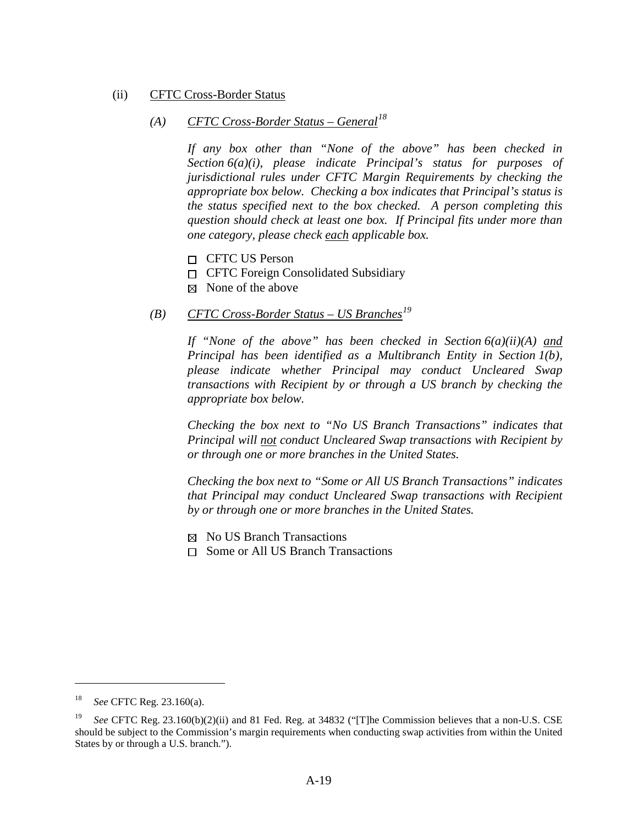#### <span id="page-22-0"></span>(ii) CFTC Cross-Border Status

# *(A) CFTC Cross-Border Status – General[18](#page-22-1)*

*If any box other than "None of the above" has been checked in Section [6\(a\)\(i\),](#page-21-4) please indicate Principal's status for purposes of jurisdictional rules under CFTC Margin Requirements by checking the appropriate box below. Checking a box indicates that Principal's status is the status specified next to the box checked. A person completing this question should check at least one box. If Principal fits under more than one category, please check each applicable box.*

- □ CFTC US Person
- CFTC Foreign Consolidated Subsidiary
- $\boxtimes$  None of the above

# *(B) CFTC Cross-Border Status – US Branches[19](#page-22-2)*

*If "None of the above" has been checked in Section [6\(a\)\(ii\)\(A\)](#page-22-0) and Principal has been identified as a Multibranch Entity in Section [1\(b\),](#page-3-3) please indicate whether Principal may conduct Uncleared Swap transactions with Recipient by or through a US branch by checking the appropriate box below.* 

*Checking the box next to "No US Branch Transactions" indicates that Principal will not conduct Uncleared Swap transactions with Recipient by or through one or more branches in the United States.* 

*Checking the box next to "Some or All US Branch Transactions" indicates that Principal may conduct Uncleared Swap transactions with Recipient by or through one or more branches in the United States.* 

 $\boxtimes$  No US Branch Transactions

 $\Box$  Some or All US Branch Transactions

<span id="page-22-1"></span><sup>18</sup> *See* CFTC Reg. 23.160(a).

<span id="page-22-2"></span><sup>19</sup> *See* CFTC Reg. 23.160(b)(2)(ii) and 81 Fed. Reg. at 34832 ("[T]he Commission believes that a non-U.S. CSE should be subject to the Commission's margin requirements when conducting swap activities from within the United States by or through a U.S. branch.").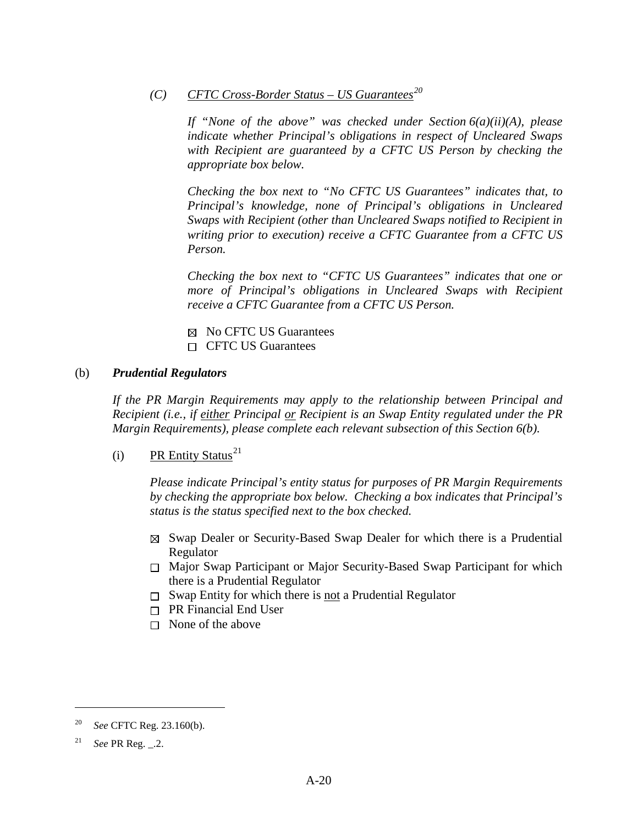*(C) CFTC Cross-Border Status – US Guarantees[20](#page-23-1)*

*If "None of the above" was checked under Section [6\(a\)\(ii\)\(A\),](#page-22-0) please indicate whether Principal's obligations in respect of Uncleared Swaps with Recipient are guaranteed by a CFTC US Person by checking the appropriate box below.* 

*Checking the box next to "No CFTC US Guarantees" indicates that, to Principal's knowledge, none of Principal's obligations in Uncleared Swaps with Recipient (other than Uncleared Swaps notified to Recipient in writing prior to execution) receive a CFTC Guarantee from a CFTC US Person.* 

*Checking the box next to "CFTC US Guarantees" indicates that one or more of Principal's obligations in Uncleared Swaps with Recipient receive a CFTC Guarantee from a CFTC US Person.* 

 $\boxtimes$  No CFTC US Guarantees  $\Box$  CFTC US Guarantees

## <span id="page-23-0"></span>(b) *Prudential Regulators*

*If the PR Margin Requirements may apply to the relationship between Principal and Recipient (i.e., if either Principal or Recipient is an Swap Entity regulated under the PR Margin Requirements), please complete each relevant subsection of this Section [6\(b\).](#page-23-0)* 

<span id="page-23-3"></span>(i) PR Entity Status<sup>[21](#page-23-2)</sup>

*Please indicate Principal's entity status for purposes of PR Margin Requirements by checking the appropriate box below. Checking a box indicates that Principal's status is the status specified next to the box checked.* 

- $\boxtimes$  Swap Dealer or Security-Based Swap Dealer for which there is a Prudential Regulator
- Major Swap Participant or Major Security-Based Swap Participant for which there is a Prudential Regulator
- $\Box$  Swap Entity for which there is not a Prudential Regulator
- $\Box$  PR Financial End User
- $\Box$  None of the above

<span id="page-23-1"></span><sup>20</sup> *See* CFTC Reg. 23.160(b).

<span id="page-23-2"></span><sup>21</sup> *See* PR Reg. \_.2.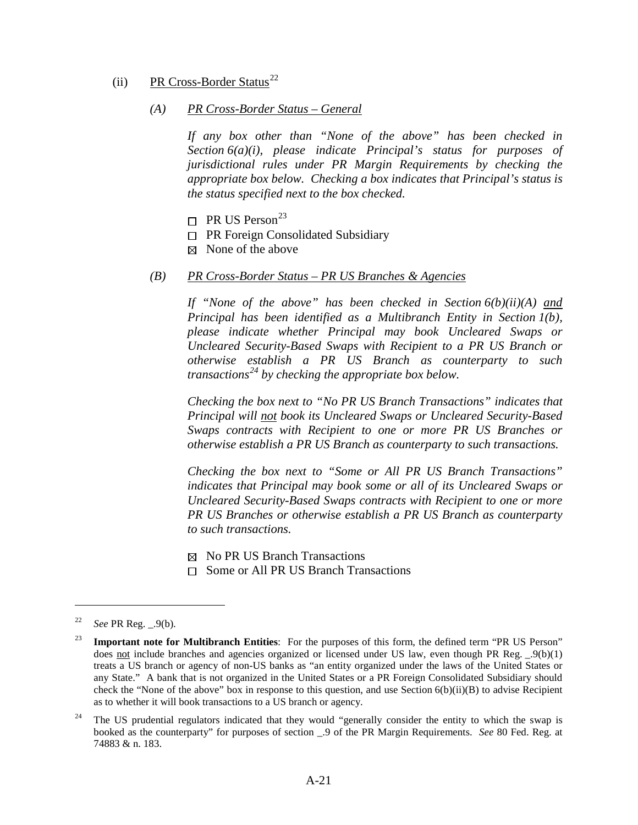#### <span id="page-24-0"></span>(ii) PR Cross-Border Status<sup>[22](#page-24-2)</sup>

#### *(A) PR Cross-Border Status – General*

*If any box other than "None of the above" has been checked in Section [6\(a\)\(i\),](#page-21-4) please indicate Principal's status for purposes of jurisdictional rules under PR Margin Requirements by checking the appropriate box below. Checking a box indicates that Principal's status is the status specified next to the box checked.*

- $\Box$  PR US Person<sup>[23](#page-24-3)</sup>
- $\Box$  PR Foreign Consolidated Subsidiary
- $\boxtimes$  None of the above

#### <span id="page-24-1"></span>*(B) PR Cross-Border Status – PR US Branches & Agencies*

*If "None of the above" has been checked in Section [6\(b\)\(ii\)\(A\)](#page-24-0) and Principal has been identified as a Multibranch Entity in Section [1\(b\),](#page-3-3) please indicate whether Principal may book Uncleared Swaps or Uncleared Security-Based Swaps with Recipient to a PR US Branch or otherwise establish a PR US Branch as counterparty to such transactions[24](#page-24-4) by checking the appropriate box below.* 

*Checking the box next to "No PR US Branch Transactions" indicates that Principal will not book its Uncleared Swaps or Uncleared Security-Based Swaps contracts with Recipient to one or more PR US Branches or otherwise establish a PR US Branch as counterparty to such transactions.* 

*Checking the box next to "Some or All PR US Branch Transactions" indicates that Principal may book some or all of its Uncleared Swaps or Uncleared Security-Based Swaps contracts with Recipient to one or more PR US Branches or otherwise establish a PR US Branch as counterparty to such transactions.* 

 $\boxtimes$  No PR US Branch Transactions

 $\Box$  Some or All PR US Branch Transactions

<span id="page-24-2"></span><sup>22</sup> *See* PR Reg. \_.9(b).

<span id="page-24-3"></span><sup>&</sup>lt;sup>23</sup> **Important note for Multibranch Entities**: For the purposes of this form, the defined term "PR US Person" does not include branches and agencies organized or licensed under US law, even though PR Reg.  $(9(b)(1))$ treats a US branch or agency of non-US banks as "an entity organized under the laws of the United States or any State." A bank that is not organized in the United States or a PR Foreign Consolidated Subsidiary should check the "None of the above" box in response to this question, and use Section [6\(b\)\(ii\)\(B\)](#page-24-1) to advise Recipient as to whether it will book transactions to a US branch or agency.

<span id="page-24-4"></span><sup>&</sup>lt;sup>24</sup> The US prudential regulators indicated that they would "generally consider the entity to which the swap is booked as the counterparty" for purposes of section \_.9 of the PR Margin Requirements. *See* 80 Fed. Reg. at 74883 & n. 183.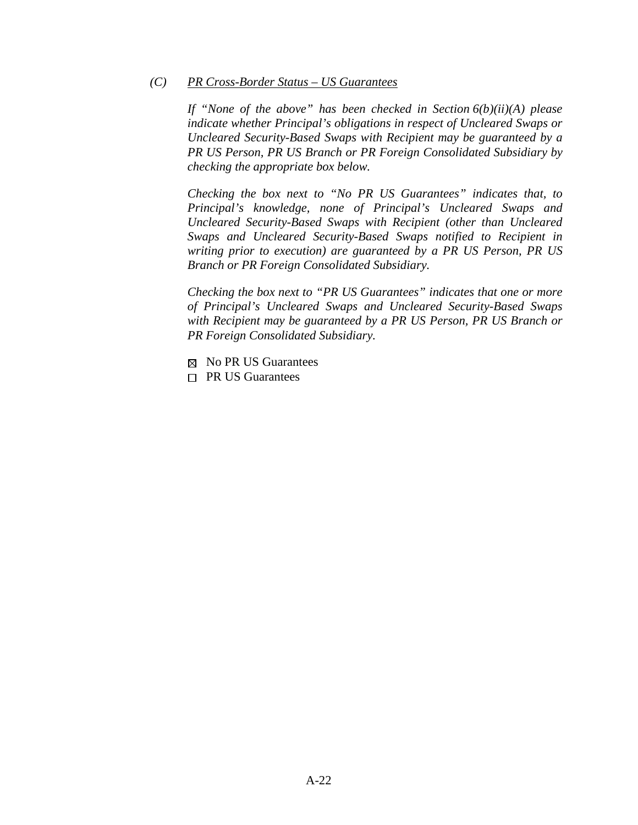#### *(C) PR Cross-Border Status – US Guarantees*

*If "None of the above" has been checked in Section [6\(b\)\(ii\)\(A\)](#page-24-0) please indicate whether Principal's obligations in respect of Uncleared Swaps or Uncleared Security-Based Swaps with Recipient may be guaranteed by a PR US Person, PR US Branch or PR Foreign Consolidated Subsidiary by checking the appropriate box below.* 

*Checking the box next to "No PR US Guarantees" indicates that, to Principal's knowledge, none of Principal's Uncleared Swaps and Uncleared Security-Based Swaps with Recipient (other than Uncleared Swaps and Uncleared Security-Based Swaps notified to Recipient in writing prior to execution) are guaranteed by a PR US Person, PR US Branch or PR Foreign Consolidated Subsidiary.* 

*Checking the box next to "PR US Guarantees" indicates that one or more of Principal's Uncleared Swaps and Uncleared Security-Based Swaps with Recipient may be guaranteed by a PR US Person, PR US Branch or PR Foreign Consolidated Subsidiary.* 

- $\boxtimes$  No PR US Guarantees
- <span id="page-25-0"></span> $\Box$  PR US Guarantees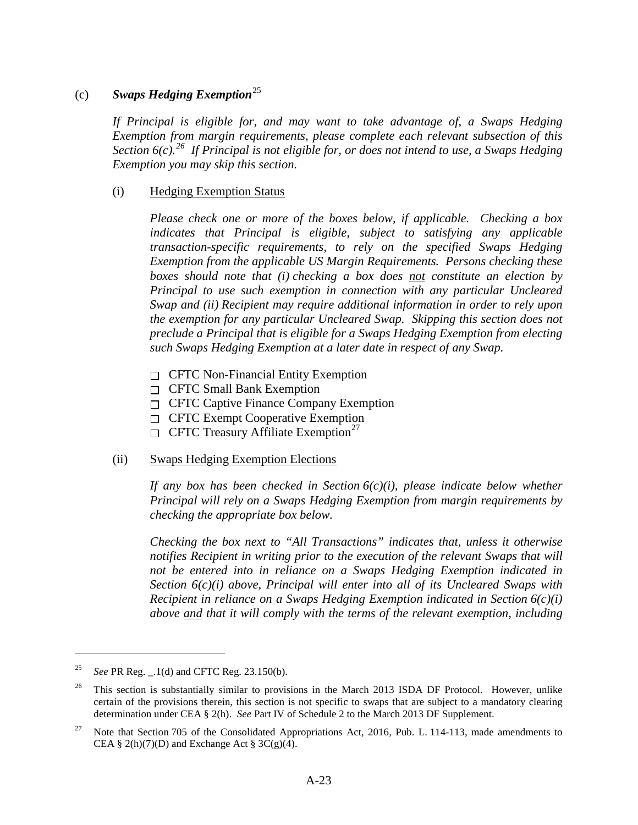### (c) *Swaps Hedging Exemption*[25](#page-26-1)

*If Principal is eligible for, and may want to take advantage of, a Swaps Hedging Exemption from margin requirements, please complete each relevant subsection of this Section [6\(c\).](#page-25-0) [26](#page-26-2) If Principal is not eligible for, or does not intend to use, a Swaps Hedging Exemption you may skip this section.*

### <span id="page-26-0"></span>(i) Hedging Exemption Status

*Please check one or more of the boxes below, if applicable. Checking a box indicates that Principal is eligible, subject to satisfying any applicable transaction-specific requirements, to rely on the specified Swaps Hedging Exemption from the applicable US Margin Requirements. Persons checking these boxes should note that (i) checking a box does not constitute an election by Principal to use such exemption in connection with any particular Uncleared Swap and (ii) Recipient may require additional information in order to rely upon the exemption for any particular Uncleared Swap. Skipping this section does not preclude a Principal that is eligible for a Swaps Hedging Exemption from electing such Swaps Hedging Exemption at a later date in respect of any Swap.* 

- $\Box$  CFTC Non-Financial Entity Exemption
- $\Box$  CFTC Small Bank Exemption
- $\Box$  CFTC Captive Finance Company Exemption
- $\Box$  CFTC Exempt Cooperative Exemption
- $\Box$  CFTC Treasury Affiliate Exemption<sup>27</sup>

#### (ii) Swaps Hedging Exemption Elections

*If any box has been checked in Section 6(c[\)\(i\),](#page-26-0) please indicate below whether Principal will rely on a Swaps Hedging Exemption from margin requirements by checking the appropriate box below.* 

*Checking the box next to "All Transactions" indicates that, unless it otherwise notifies Recipient in writing prior to the execution of the relevant Swaps that will not be entered into in reliance on a Swaps Hedging Exemption indicated in Section 6(c)(i) above, Principal will enter into all of its Uncleared Swaps with Recipient in reliance on a Swaps Hedging Exemption indicated in Section 6(c)(i) above and that it will comply with the terms of the relevant exemption, including* 

<span id="page-26-1"></span><sup>25</sup> *See* PR Reg. \_.1(d) and CFTC Reg. 23.150(b).

<span id="page-26-2"></span><sup>&</sup>lt;sup>26</sup> This section is substantially similar to provisions in the March 2013 ISDA DF Protocol. However, unlike certain of the provisions therein, this section is not specific to swaps that are subject to a mandatory clearing determination under CEA § 2(h). *See* Part IV of Schedule 2 to the March 2013 DF Supplement.

<span id="page-26-3"></span><sup>&</sup>lt;sup>27</sup> Note that Section 705 of the Consolidated Appropriations Act, 2016, Pub. L. 114-113, made amendments to CEA § 2(h)(7)(D) and Exchange Act § 3C(g)(4).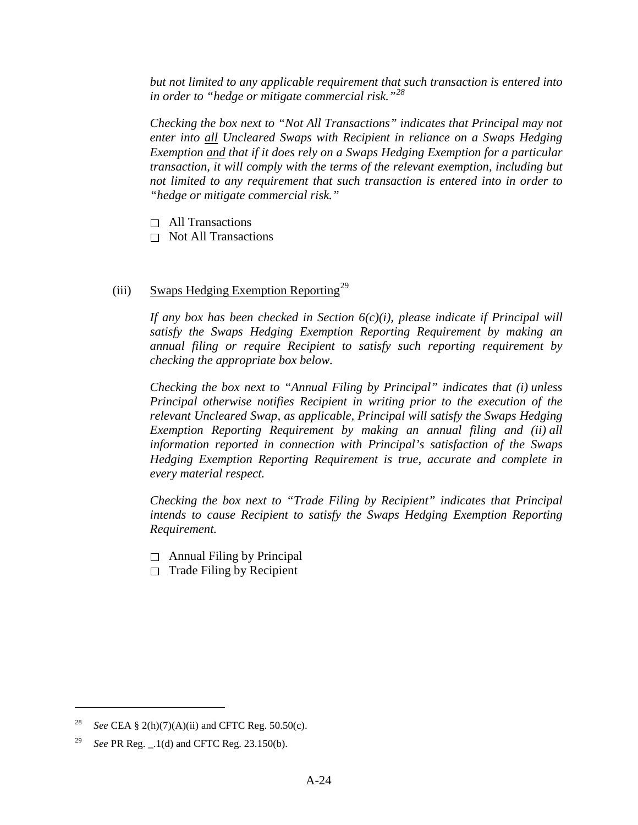*but not limited to any applicable requirement that such transaction is entered into in order to "hedge or mitigate commercial risk."[28](#page-27-0)*

*Checking the box next to "Not All Transactions" indicates that Principal may not enter into all Uncleared Swaps with Recipient in reliance on a Swaps Hedging Exemption and that if it does rely on a Swaps Hedging Exemption for a particular transaction, it will comply with the terms of the relevant exemption, including but not limited to any requirement that such transaction is entered into in order to "hedge or mitigate commercial risk."*

- $\Box$  All Transactions
- $\Box$  Not All Transactions

# <span id="page-27-2"></span>(iii) Swaps Hedging Exemption Reporting<sup>[29](#page-27-1)</sup>

*If any box has been checked in Section [6\(c\)\(i\),](#page-26-0) please indicate if Principal will satisfy the Swaps Hedging Exemption Reporting Requirement by making an annual filing or require Recipient to satisfy such reporting requirement by checking the appropriate box below.*

*Checking the box next to "Annual Filing by Principal" indicates that (i) unless Principal otherwise notifies Recipient in writing prior to the execution of the relevant Uncleared Swap, as applicable, Principal will satisfy the Swaps Hedging Exemption Reporting Requirement by making an annual filing and (ii) all information reported in connection with Principal's satisfaction of the Swaps Hedging Exemption Reporting Requirement is true, accurate and complete in every material respect.* 

*Checking the box next to "Trade Filing by Recipient" indicates that Principal intends to cause Recipient to satisfy the Swaps Hedging Exemption Reporting Requirement.*

- $\Box$  Annual Filing by Principal
- $\Box$  Trade Filing by Recipient

<span id="page-27-0"></span><sup>&</sup>lt;sup>28</sup> *See* CEA § 2(h)(7)(A)(ii) and CFTC Reg. 50.50(c).

<span id="page-27-1"></span><sup>29</sup> *See* PR Reg. \_.1(d) and CFTC Reg. 23.150(b).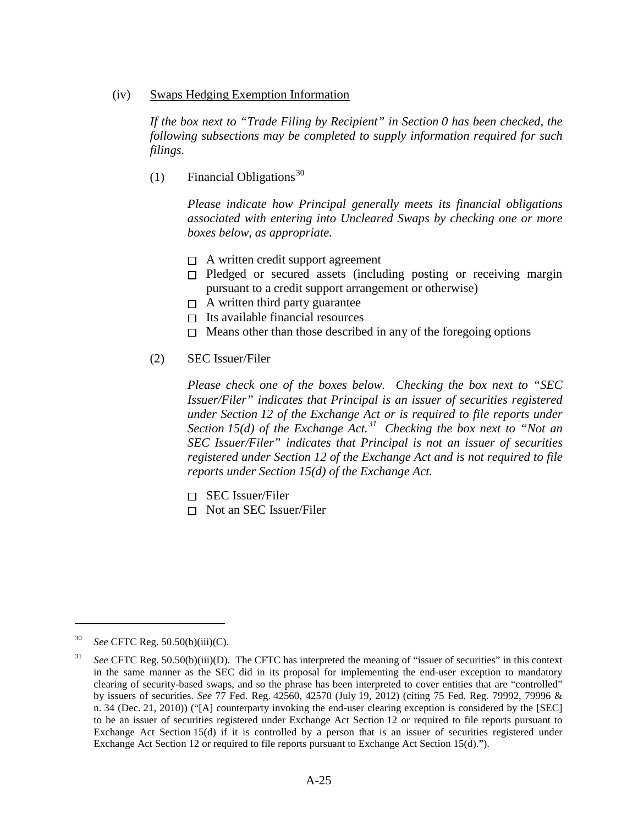(iv) Swaps Hedging Exemption Information

*If the box next to "Trade Filing by Recipient" in Section [0](#page-27-2) has been checked, the following subsections may be completed to supply information required for such filings.* 

(1) Financial Obligations<sup>[30](#page-28-0)</sup>

*Please indicate how Principal generally meets its financial obligations associated with entering into Uncleared Swaps by checking one or more boxes below, as appropriate.* 

- $\Box$  A written credit support agreement
- $\Box$  Pledged or secured assets (including posting or receiving margin pursuant to a credit support arrangement or otherwise)
- $\Box$  A written third party guarantee
- $\Box$  Its available financial resources
- $\Box$  Means other than those described in any of the foregoing options

#### <span id="page-28-2"></span>(2) SEC Issuer/Filer

*Please check one of the boxes below. Checking the box next to "SEC Issuer/Filer" indicates that Principal is an issuer of securities registered under Section 12 of the Exchange Act or is required to file reports under Section 15(d) of the Exchange Act.[31](#page-28-1) Checking the box next to "Not an SEC Issuer/Filer" indicates that Principal is not an issuer of securities registered under Section 12 of the Exchange Act and is not required to file reports under Section 15(d) of the Exchange Act.*

- $\Box$  SEC Issuer/Filer
- □ Not an SEC Issuer/Filer

<span id="page-28-0"></span><sup>30</sup> *See* CFTC Reg. 50.50(b)(iii)(C).

<span id="page-28-1"></span><sup>31</sup> *See* CFTC Reg. 50.50(b)(iii)(D). The CFTC has interpreted the meaning of "issuer of securities" in this context in the same manner as the SEC did in its proposal for implementing the end-user exception to mandatory clearing of security-based swaps, and so the phrase has been interpreted to cover entities that are "controlled" by issuers of securities. *See* 77 Fed. Reg. 42560, 42570 (July 19, 2012) (citing 75 Fed. Reg. 79992, 79996 & n. 34 (Dec. 21, 2010)) ("[A] counterparty invoking the end-user clearing exception is considered by the [SEC] to be an issuer of securities registered under Exchange Act Section 12 or required to file reports pursuant to Exchange Act Section 15(d) if it is controlled by a person that is an issuer of securities registered under Exchange Act Section 12 or required to file reports pursuant to Exchange Act Section 15(d).").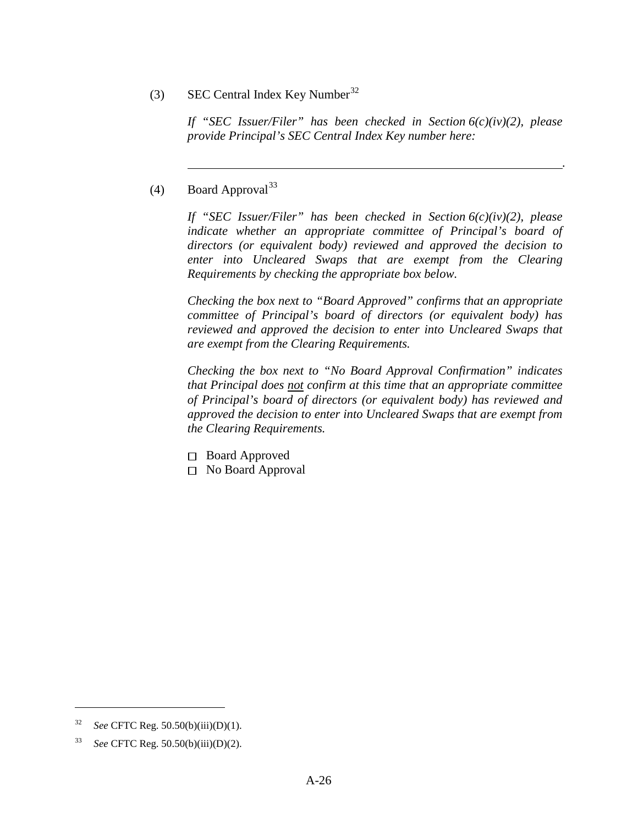(3) SEC Central Index Key Number<sup>[32](#page-29-0)</sup>

*If "SEC Issuer/Filer" has been checked in Section [6\(c\)\(iv\)\(2\),](#page-28-2) please provide Principal's SEC Central Index Key number here:* 

*.* 

(4) Board Approval<sup>[33](#page-29-1)</sup>

*If "SEC Issuer/Filer" has been checked in Section [6\(c\)\(iv\)\(2\),](#page-28-2) please indicate whether an appropriate committee of Principal's board of directors (or equivalent body) reviewed and approved the decision to enter into Uncleared Swaps that are exempt from the Clearing Requirements by checking the appropriate box below.* 

*Checking the box next to "Board Approved" confirms that an appropriate committee of Principal's board of directors (or equivalent body) has reviewed and approved the decision to enter into Uncleared Swaps that are exempt from the Clearing Requirements.* 

*Checking the box next to "No Board Approval Confirmation" indicates that Principal does not confirm at this time that an appropriate committee of Principal's board of directors (or equivalent body) has reviewed and approved the decision to enter into Uncleared Swaps that are exempt from the Clearing Requirements.* 

- □ Board Approved
- <span id="page-29-2"></span>□ No Board Approval

<span id="page-29-0"></span><sup>32</sup> *See* CFTC Reg. 50.50(b)(iii)(D)(1).

<span id="page-29-1"></span><sup>33</sup> *See* CFTC Reg. 50.50(b)(iii)(D)(2).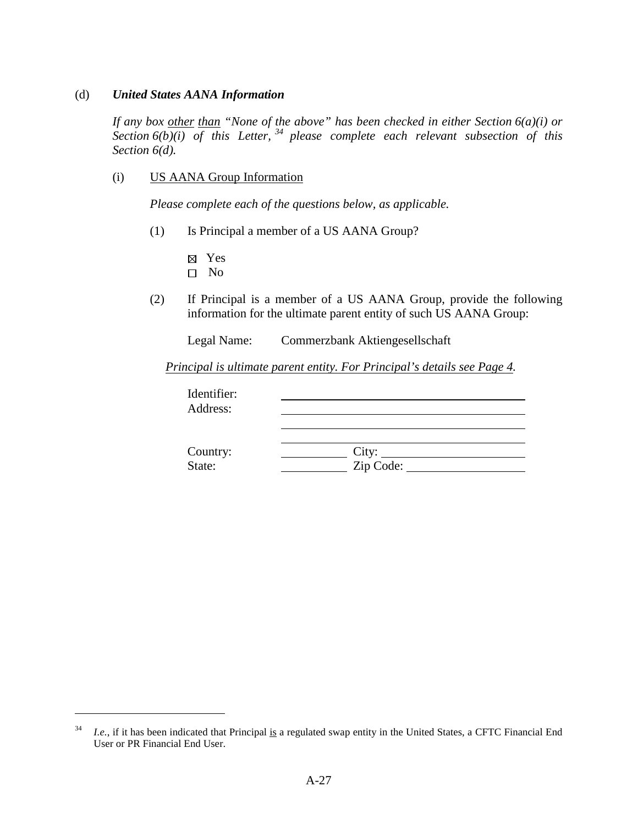#### (d) *United States AANA Information*

*If any box other than "None of the above" has been checked in either Section [6\(a\)\(i\)](#page-21-4) or*  Section  $6(b)(i)$  of this Letter, <sup>[34](#page-30-0)</sup> please complete each relevant subsection of this *Section [6\(d\).](#page-29-2)*

(i) US AANA Group Information

*Please complete each of the questions below, as applicable.* 

- (1) Is Principal a member of a US AANA Group?
	- Yes
	- $\square$  No

 $\overline{a}$ 

(2) If Principal is a member of a US AANA Group, provide the following information for the ultimate parent entity of such US AANA Group:

Legal Name: Commerzbank Aktiengesellschaft

 *Principal is ultimate parent entity. For Principal's details see Page 4.* 

| Identifier:<br>Address: |                                |  |
|-------------------------|--------------------------------|--|
|                         |                                |  |
|                         | City: $\overline{\phantom{a}}$ |  |
| Country:<br>State:      | Zip Code:                      |  |

<span id="page-30-0"></span><sup>&</sup>lt;sup>34</sup> *I.e.*, if it has been indicated that Principal is a regulated swap entity in the United States, a CFTC Financial End User or PR Financial End User.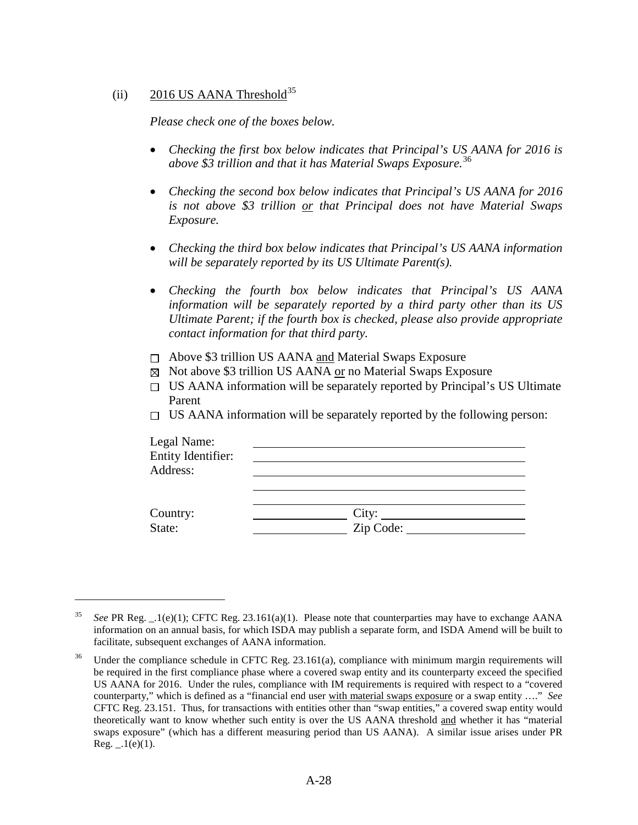# (ii) 2016 US AANA Threshold<sup>[35](#page-31-0)</sup>

 $\overline{a}$ 

*Please check one of the boxes below.*

- *Checking the first box below indicates that Principal's US AANA for 2016 is above \$3 trillion and that it has Material Swaps Exposure.*[36](#page-31-1)
- *Checking the second box below indicates that Principal's US AANA for 2016 is not above \$3 trillion or that Principal does not have Material Swaps Exposure.*
- *Checking the third box below indicates that Principal's US AANA information will be separately reported by its US Ultimate Parent(s).*
- *Checking the fourth box below indicates that Principal's US AANA information will be separately reported by a third party other than its US Ultimate Parent; if the fourth box is checked, please also provide appropriate contact information for that third party.*
- $\Box$  Above \$3 trillion US AANA and Material Swaps Exposure
- $\boxtimes$  Not above \$3 trillion US AANA <u>or</u> no Material Swaps Exposure
- $\square$  US AANA information will be separately reported by Principal's US Ultimate Parent
- $\Box$  US AANA information will be separately reported by the following person:

| Legal Name:<br>Entity Identifier: |  |
|-----------------------------------|--|
| Address:                          |  |
|                                   |  |
|                                   |  |
| Country:<br>State:                |  |

<span id="page-31-0"></span><sup>35</sup> *See* PR Reg. \_.1(e)(1); CFTC Reg. 23.161(a)(1). Please note that counterparties may have to exchange AANA information on an annual basis, for which ISDA may publish a separate form, and ISDA Amend will be built to facilitate, subsequent exchanges of AANA information.

<span id="page-31-1"></span><sup>&</sup>lt;sup>36</sup> Under the compliance schedule in CFTC Reg. 23.161(a), compliance with minimum margin requirements will be required in the first compliance phase where a covered swap entity and its counterparty exceed the specified US AANA for 2016. Under the rules, compliance with IM requirements is required with respect to a "covered counterparty," which is defined as a "financial end user with material swaps exposure or a swap entity …." *See* CFTC Reg. 23.151. Thus, for transactions with entities other than "swap entities," a covered swap entity would theoretically want to know whether such entity is over the US AANA threshold and whether it has "material swaps exposure" (which has a different measuring period than US AANA). A similar issue arises under PR Reg.  $_1(e)(1)$ .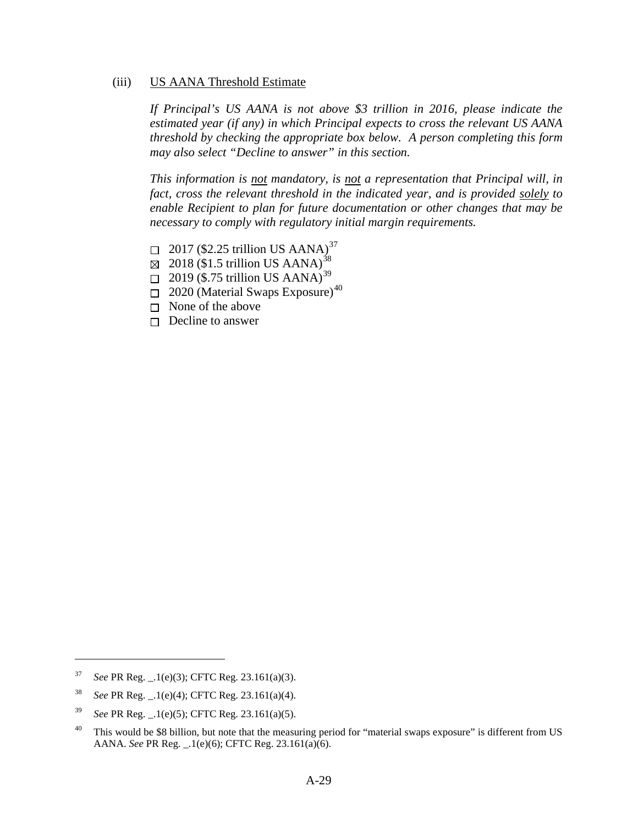#### <span id="page-32-4"></span>(iii) US AANA Threshold Estimate

*If Principal's US AANA is not above \$3 trillion in 2016, please indicate the estimated year (if any) in which Principal expects to cross the relevant US AANA threshold by checking the appropriate box below. A person completing this form may also select "Decline to answer" in this section.*

*This information is not mandatory, is not a representation that Principal will, in fact, cross the relevant threshold in the indicated year, and is provided solely to enable Recipient to plan for future documentation or other changes that may be necessary to comply with regulatory initial margin requirements.* 

- $\Box$  2017 (\$2.25 trillion US AANA)<sup>[37](#page-32-0)</sup>
- $\boxtimes$  2018 (\$1.5 trillion US AANA)<sup>[38](#page-32-1)</sup>
- $\Box$  2019 (\$.75 trillion US AANA)<sup>[39](#page-32-2)</sup>
- $\Box$  2020 (Material Swaps Exposure)<sup>[40](#page-32-3)</sup>
- $\Box$  None of the above
- $\Box$  Decline to answer

<span id="page-32-0"></span><sup>37</sup> *See* PR Reg. \_.1(e)(3); CFTC Reg. 23.161(a)(3).

<span id="page-32-1"></span><sup>38</sup> *See* PR Reg. \_.1(e)(4); CFTC Reg. 23.161(a)(4).

<span id="page-32-2"></span><sup>39</sup> *See* PR Reg. \_.1(e)(5); CFTC Reg. 23.161(a)(5).

<span id="page-32-3"></span><sup>&</sup>lt;sup>40</sup> This would be \$8 billion, but note that the measuring period for "material swaps exposure" is different from US AANA. *See* PR Reg. \_.1(e)(6); CFTC Reg. 23.161(a)(6).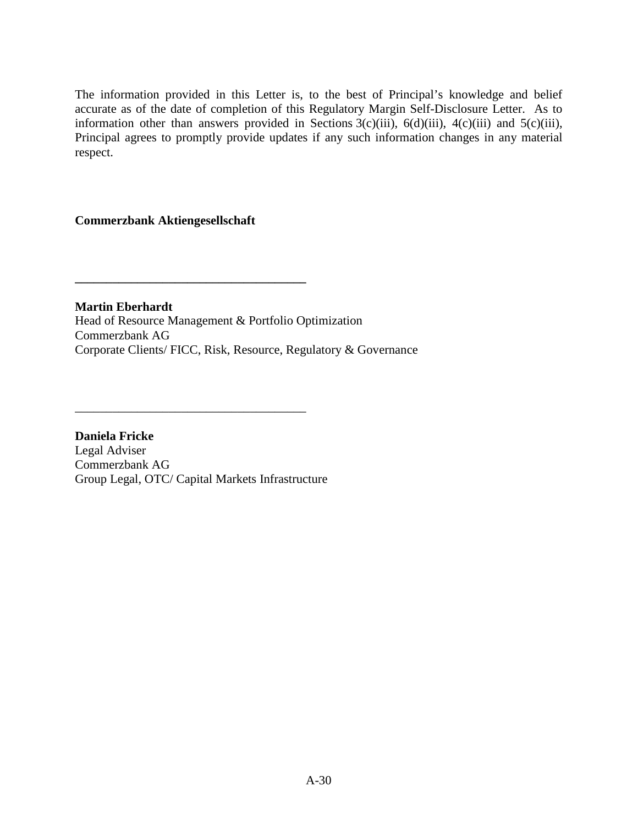The information provided in this Letter is, to the best of Principal's knowledge and belief accurate as of the date of completion of this Regulatory Margin Self-Disclosure Letter. As to information other than answers provided in Sections  $3(c)(iii)$ ,  $6(d)(iii)$ ,  $4(c)(iii)$  and  $5(c)(iii)$ , Principal agrees to promptly provide updates if any such information changes in any material respect.

# **Commerzbank Aktiengesellschaft**

**\_\_\_\_\_\_\_\_\_\_\_\_\_\_\_\_\_\_\_\_\_\_\_\_\_\_\_\_\_\_\_\_\_\_\_\_\_** 

**Martin Eberhardt**  Head of Resource Management & Portfolio Optimization Commerzbank AG Corporate Clients/ FICC, Risk, Resource, Regulatory & Governance

**Daniela Fricke** Legal Adviser Commerzbank AG Group Legal, OTC/ Capital Markets Infrastructure

\_\_\_\_\_\_\_\_\_\_\_\_\_\_\_\_\_\_\_\_\_\_\_\_\_\_\_\_\_\_\_\_\_\_\_\_\_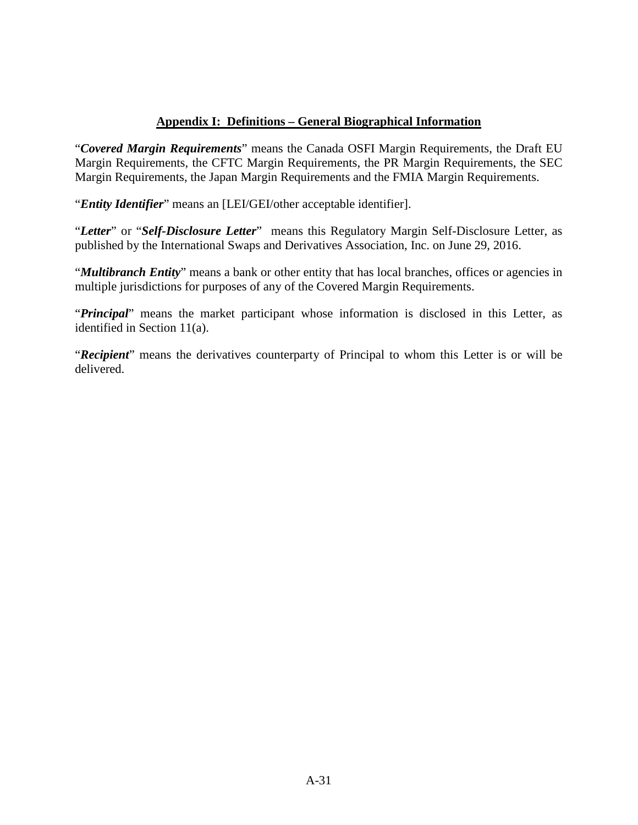# **Appendix I: Definitions – [General Biographical Information](#page-3-0)**

"*Covered Margin Requirements*" means the Canada OSFI Margin Requirements, the Draft EU Margin Requirements, the CFTC Margin Requirements, the PR Margin Requirements, the SEC Margin Requirements, the Japan Margin Requirements and the FMIA Margin Requirements.

"*Entity Identifier*" means an [LEI/GEI/other acceptable identifier].

"*Letter*" or "*Self-Disclosure Letter*" means this Regulatory Margin Self-Disclosure Letter, as published by the International Swaps and Derivatives Association, Inc. on June 29, 2016.

"*Multibranch Entity*" means a bank or other entity that has local branches, offices or agencies in multiple jurisdictions for purposes of any of the Covered Margin Requirements.

"*Principal*" means the market participant whose information is disclosed in this Letter, as identified in Section [11\(a\).](#page-3-0)

"*Recipient*" means the derivatives counterparty of Principal to whom this Letter is or will be delivered.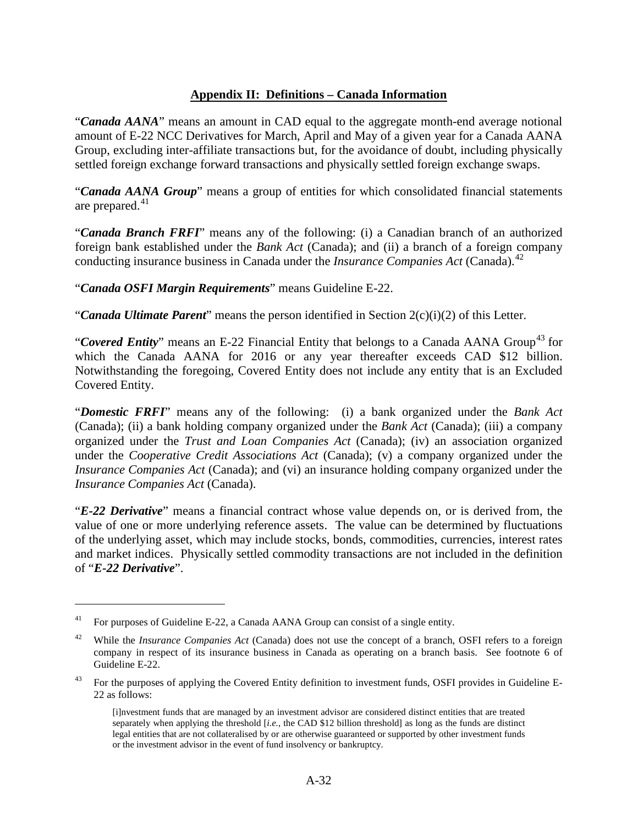## **Appendix II: Definitions – [Canada Information](#page-4-0)**

"*Canada AANA*" means an amount in CAD equal to the aggregate month-end average notional amount of E-22 NCC Derivatives for March, April and May of a given year for a Canada AANA Group, excluding inter-affiliate transactions but, for the avoidance of doubt, including physically settled foreign exchange forward transactions and physically settled foreign exchange swaps.

"*Canada AANA Group*" means a group of entities for which consolidated financial statements are prepared. $41$ 

"*Canada Branch FRFI*" means any of the following: (i) a Canadian branch of an authorized foreign bank established under the *Bank Act* (Canada); and (ii) a branch of a foreign company conducting insurance business in Canada under the *Insurance Companies Act* (Canada). [42](#page-35-1)

"*Canada OSFI Margin Requirements*" means Guideline E-22.

"*Canada Ultimate Parent*" means the person identified in Section 2(c)(i)(2) of this Letter.

"**Covered Entity**" means an E-22 Financial Entity that belongs to a Canada AANA Group<sup>[43](#page-35-2)</sup> for which the Canada AANA for 2016 or any year thereafter exceeds CAD \$12 billion. Notwithstanding the foregoing, Covered Entity does not include any entity that is an Excluded Covered Entity.

"*Domestic FRFI*" means any of the following: (i) a bank organized under the *Bank Act* (Canada); (ii) a bank holding company organized under the *Bank Act* (Canada); (iii) a company organized under the *Trust and Loan Companies Act* (Canada); (iv) an association organized under the *Cooperative Credit Associations Act* (Canada); (v) a company organized under the *Insurance Companies Act* (Canada); and (vi) an insurance holding company organized under the *Insurance Companies Act* (Canada).

"*E-22 Derivative*" means a financial contract whose value depends on, or is derived from, the value of one or more underlying reference assets. The value can be determined by fluctuations of the underlying asset, which may include stocks, bonds, commodities, currencies, interest rates and market indices. Physically settled commodity transactions are not included in the definition of "*E-22 Derivative*".

<span id="page-35-0"></span><sup>&</sup>lt;sup>41</sup> For purposes of Guideline E-22, a Canada AANA Group can consist of a single entity.

<span id="page-35-1"></span><sup>42</sup> While the *Insurance Companies Act* (Canada) does not use the concept of a branch, OSFI refers to a foreign company in respect of its insurance business in Canada as operating on a branch basis. See footnote 6 of Guideline E-22.

<span id="page-35-2"></span><sup>&</sup>lt;sup>43</sup> For the purposes of applying the Covered Entity definition to investment funds, OSFI provides in Guideline E-22 as follows:

<sup>[</sup>i]nvestment funds that are managed by an investment advisor are considered distinct entities that are treated separately when applying the threshold [*i.e.*, the CAD \$12 billion threshold] as long as the funds are distinct legal entities that are not collateralised by or are otherwise guaranteed or supported by other investment funds or the investment advisor in the event of fund insolvency or bankruptcy.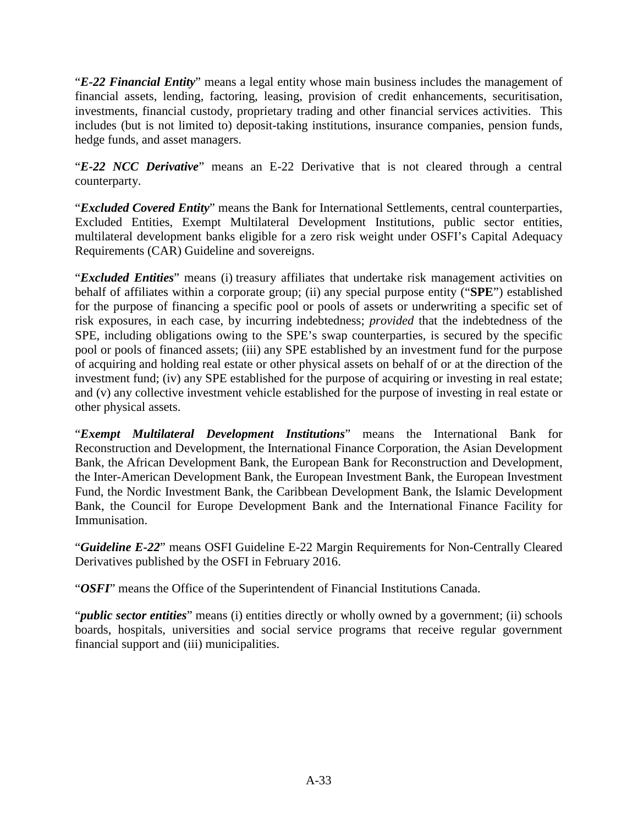"*E-22 Financial Entity*" means a legal entity whose main business includes the management of financial assets, lending, factoring, leasing, provision of credit enhancements, securitisation, investments, financial custody, proprietary trading and other financial services activities. This includes (but is not limited to) deposit-taking institutions, insurance companies, pension funds, hedge funds, and asset managers.

"*E-22 NCC Derivative*" means an E-22 Derivative that is not cleared through a central counterparty.

"*Excluded Covered Entity*" means the Bank for International Settlements, central counterparties, Excluded Entities, Exempt Multilateral Development Institutions, public sector entities, multilateral development banks eligible for a zero risk weight under OSFI's Capital Adequacy Requirements (CAR) Guideline and sovereigns.

"*Excluded Entities*" means (i) treasury affiliates that undertake risk management activities on behalf of affiliates within a corporate group; (ii) any special purpose entity ("**SPE**") established for the purpose of financing a specific pool or pools of assets or underwriting a specific set of risk exposures, in each case, by incurring indebtedness; *provided* that the indebtedness of the SPE, including obligations owing to the SPE's swap counterparties, is secured by the specific pool or pools of financed assets; (iii) any SPE established by an investment fund for the purpose of acquiring and holding real estate or other physical assets on behalf of or at the direction of the investment fund; (iv) any SPE established for the purpose of acquiring or investing in real estate; and (v) any collective investment vehicle established for the purpose of investing in real estate or other physical assets.

"*Exempt Multilateral Development Institutions*" means the International Bank for Reconstruction and Development, the International Finance Corporation, the Asian Development Bank, the African Development Bank, the European Bank for Reconstruction and Development, the Inter-American Development Bank, the European Investment Bank, the European Investment Fund, the Nordic Investment Bank, the Caribbean Development Bank, the Islamic Development Bank, the Council for Europe Development Bank and the International Finance Facility for Immunisation.

"*Guideline E-22*" means OSFI Guideline E-22 Margin Requirements for Non-Centrally Cleared Derivatives published by the OSFI in February 2016.

"*OSFI*" means the Office of the Superintendent of Financial Institutions Canada.

"*public sector entities*" means (i) entities directly or wholly owned by a government; (ii) schools boards, hospitals, universities and social service programs that receive regular government financial support and (iii) municipalities.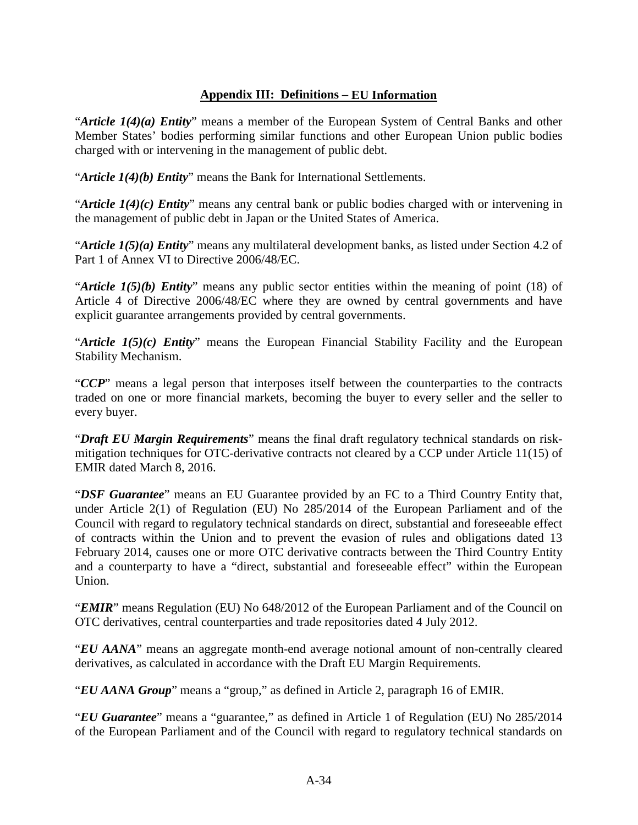# **Appendix III: Definitions – EU Information**

"*Article 1(4)(a) Entity*" means a member of the European System of Central Banks and other Member States' bodies performing similar functions and other European Union public bodies charged with or intervening in the management of public debt.

"*Article 1(4)(b) Entity*" means the Bank for International Settlements.

"*Article 1(4)(c) Entity*" means any central bank or public bodies charged with or intervening in the management of public debt in Japan or the United States of America.

"*Article 1(5)(a) Entity*" means any multilateral development banks, as listed under Section 4.2 of Part 1 of Annex VI to Directive 2006/48/EC.

"*Article 1(5)(b) Entity*" means any public sector entities within the meaning of point (18) of Article 4 of Directive 2006/48/EC where they are owned by central governments and have explicit guarantee arrangements provided by central governments.

"*Article 1(5)(c) Entity*" means the European Financial Stability Facility and the European Stability Mechanism.

"*CCP*" means a legal person that interposes itself between the counterparties to the contracts traded on one or more financial markets, becoming the buyer to every seller and the seller to every buyer.

"*Draft EU Margin Requirements*" means the final draft regulatory technical standards on riskmitigation techniques for OTC-derivative contracts not cleared by a CCP under Article 11(15) of EMIR dated March 8, 2016.

"*DSF Guarantee*" means an EU Guarantee provided by an FC to a Third Country Entity that, under Article 2(1) of Regulation (EU) No 285/2014 of the European Parliament and of the Council with regard to regulatory technical standards on direct, substantial and foreseeable effect of contracts within the Union and to prevent the evasion of rules and obligations dated 13 February 2014, causes one or more OTC derivative contracts between the Third Country Entity and a counterparty to have a "direct, substantial and foreseeable effect" within the European Union.

"*EMIR*" means Regulation (EU) No 648/2012 of the European Parliament and of the Council on OTC derivatives, central counterparties and trade repositories dated 4 July 2012.

"*EU AANA*" means an aggregate month-end average notional amount of non-centrally cleared derivatives, as calculated in accordance with the Draft EU Margin Requirements.

"*EU AANA Group*" means a "group," as defined in Article 2, paragraph 16 of EMIR.

"*EU Guarantee*" means a "guarantee," as defined in Article 1 of Regulation (EU) No 285/2014 of the European Parliament and of the Council with regard to regulatory technical standards on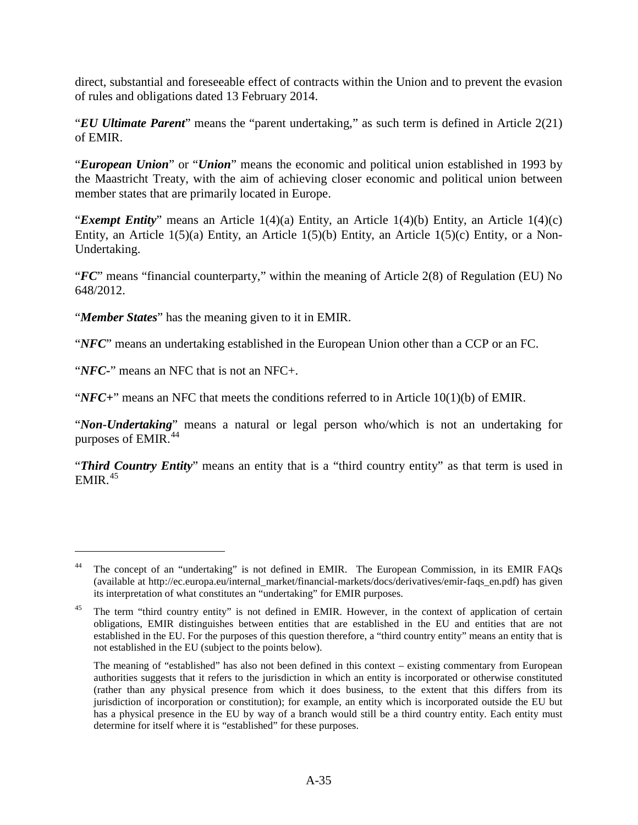direct, substantial and foreseeable effect of contracts within the Union and to prevent the evasion of rules and obligations dated 13 February 2014.

"*EU Ultimate Parent*" means the "parent undertaking," as such term is defined in Article 2(21) of EMIR.

"*European Union*" or "*Union*" means the economic and political union established in 1993 by the Maastricht Treaty, with the aim of achieving closer economic and political union between member states that are primarily located in Europe.

"*Exempt Entity*" means an Article 1(4)(a) Entity, an Article 1(4)(b) Entity, an Article 1(4)(c) Entity, an Article 1(5)(a) Entity, an Article 1(5)(b) Entity, an Article 1(5)(c) Entity, or a Non-Undertaking.

"*FC*" means "financial counterparty," within the meaning of Article 2(8) of Regulation (EU) No 648/2012.

"*Member States*" has the meaning given to it in EMIR.

"*NFC*" means an undertaking established in the European Union other than a CCP or an FC.

"*NFC-*" means an NFC that is not an NFC+.

 $\overline{a}$ 

"*NFC+*" means an NFC that meets the conditions referred to in Article 10(1)(b) of EMIR.

"*Non-Undertaking*" means a natural or legal person who/which is not an undertaking for purposes of EMIR.<sup>[44](#page-38-0)</sup>

"*Third Country Entity*" means an entity that is a "third country entity" as that term is used in  $EMIR.<sup>45</sup>$  $EMIR.<sup>45</sup>$  $EMIR.<sup>45</sup>$ 

<span id="page-38-0"></span>The concept of an "undertaking" is not defined in EMIR. The European Commission, in its EMIR FAOs (available at http://ec.europa.eu/internal\_market/financial-markets/docs/derivatives/emir-faqs\_en.pdf) has given its interpretation of what constitutes an "undertaking" for EMIR purposes.

<span id="page-38-1"></span><sup>&</sup>lt;sup>45</sup> The term "third country entity" is not defined in EMIR. However, in the context of application of certain obligations, EMIR distinguishes between entities that are established in the EU and entities that are not established in the EU. For the purposes of this question therefore, a "third country entity" means an entity that is not established in the EU (subject to the points below).

The meaning of "established" has also not been defined in this context – existing commentary from European authorities suggests that it refers to the jurisdiction in which an entity is incorporated or otherwise constituted (rather than any physical presence from which it does business, to the extent that this differs from its jurisdiction of incorporation or constitution); for example, an entity which is incorporated outside the EU but has a physical presence in the EU by way of a branch would still be a third country entity. Each entity must determine for itself where it is "established" for these purposes.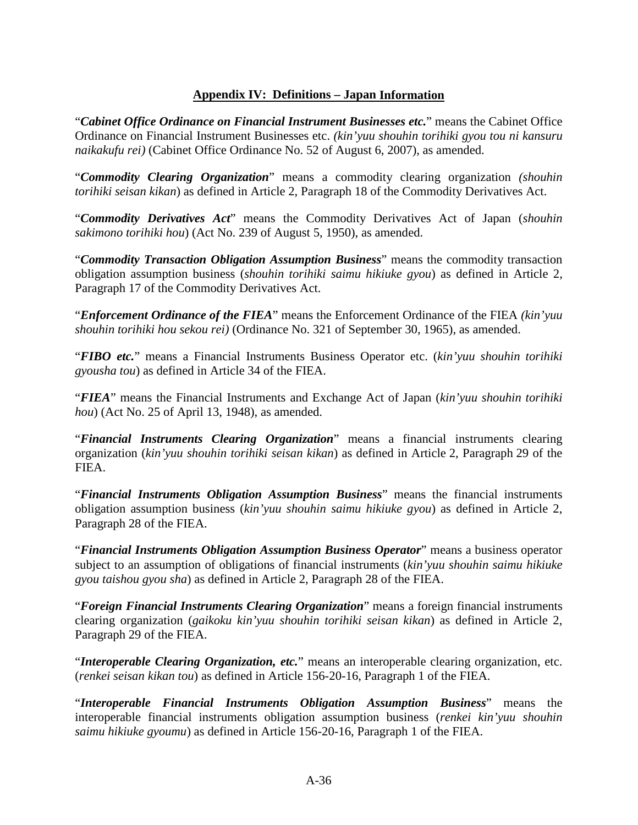## **Appendix IV: Definitions – [Japan](#page-13-0) Information**

"*Cabinet Office Ordinance on Financial Instrument Businesses etc.*" means the Cabinet Office Ordinance on Financial Instrument Businesses etc. *(kin'yuu shouhin torihiki gyou tou ni kansuru naikakufu rei)* (Cabinet Office Ordinance No. 52 of August 6, 2007), as amended.

"*Commodity Clearing Organization*" means a commodity clearing organization *(shouhin torihiki seisan kikan*) as defined in Article 2, Paragraph 18 of the Commodity Derivatives Act.

"*Commodity Derivatives Act*" means the Commodity Derivatives Act of Japan (*shouhin sakimono torihiki hou*) (Act No. 239 of August 5, 1950), as amended.

"*Commodity Transaction Obligation Assumption Business*" means the commodity transaction obligation assumption business (*shouhin torihiki saimu hikiuke gyou*) as defined in Article 2, Paragraph 17 of the Commodity Derivatives Act.

"*Enforcement Ordinance of the FIEA*" means the Enforcement Ordinance of the FIEA *(kin'yuu shouhin torihiki hou sekou rei)* (Ordinance No. 321 of September 30, 1965), as amended.

"*FIBO etc.*" means a Financial Instruments Business Operator etc. (*kin'yuu shouhin torihiki gyousha tou*) as defined in Article 34 of the FIEA.

"*FIEA*" means the Financial Instruments and Exchange Act of Japan (*kin'yuu shouhin torihiki hou*) (Act No. 25 of April 13, 1948), as amended.

"*Financial Instruments Clearing Organization*" means a financial instruments clearing organization (*kin'yuu shouhin torihiki seisan kikan*) as defined in Article 2, Paragraph 29 of the FIEA.

"*Financial Instruments Obligation Assumption Business*" means the financial instruments obligation assumption business (*kin'yuu shouhin saimu hikiuke gyou*) as defined in Article 2, Paragraph 28 of the FIEA.

"*Financial Instruments Obligation Assumption Business Operator*" means a business operator subject to an assumption of obligations of financial instruments (*kin'yuu shouhin saimu hikiuke gyou taishou gyou sha*) as defined in Article 2, Paragraph 28 of the FIEA.

"*Foreign Financial Instruments Clearing Organization*" means a foreign financial instruments clearing organization (*gaikoku kin'yuu shouhin torihiki seisan kikan*) as defined in Article 2, Paragraph 29 of the FIEA.

"*Interoperable Clearing Organization, etc.*" means an interoperable clearing organization, etc. (*renkei seisan kikan tou*) as defined in Article 156-20-16, Paragraph 1 of the FIEA.

"*Interoperable Financial Instruments Obligation Assumption Business*" means the interoperable financial instruments obligation assumption business (*renkei kin'yuu shouhin saimu hikiuke gyoumu*) as defined in Article 156-20-16, Paragraph 1 of the FIEA.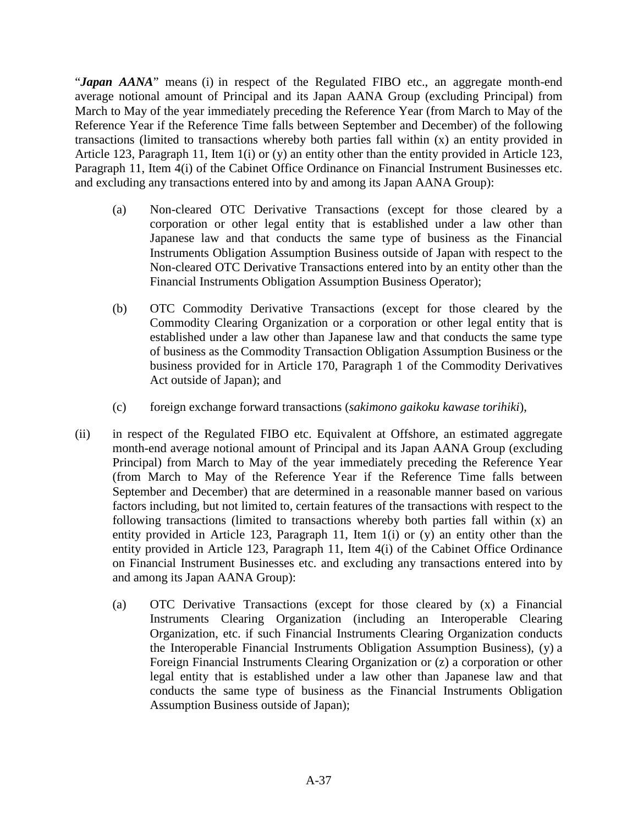"*Japan AANA*" means (i) in respect of the Regulated FIBO etc., an aggregate month-end average notional amount of Principal and its Japan AANA Group (excluding Principal) from March to May of the year immediately preceding the Reference Year (from March to May of the Reference Year if the Reference Time falls between September and December) of the following transactions (limited to transactions whereby both parties fall within (x) an entity provided in Article 123, Paragraph 11, Item 1(i) or (y) an entity other than the entity provided in Article 123, Paragraph 11, Item 4(i) of the Cabinet Office Ordinance on Financial Instrument Businesses etc. and excluding any transactions entered into by and among its Japan AANA Group):

- (a) Non-cleared OTC Derivative Transactions (except for those cleared by a corporation or other legal entity that is established under a law other than Japanese law and that conducts the same type of business as the Financial Instruments Obligation Assumption Business outside of Japan with respect to the Non-cleared OTC Derivative Transactions entered into by an entity other than the Financial Instruments Obligation Assumption Business Operator);
- (b) OTC Commodity Derivative Transactions (except for those cleared by the Commodity Clearing Organization or a corporation or other legal entity that is established under a law other than Japanese law and that conducts the same type of business as the Commodity Transaction Obligation Assumption Business or the business provided for in Article 170, Paragraph 1 of the Commodity Derivatives Act outside of Japan); and
- (c) foreign exchange forward transactions (*sakimono gaikoku kawase torihiki*),
- (ii) in respect of the Regulated FIBO etc. Equivalent at Offshore, an estimated aggregate month-end average notional amount of Principal and its Japan AANA Group (excluding Principal) from March to May of the year immediately preceding the Reference Year (from March to May of the Reference Year if the Reference Time falls between September and December) that are determined in a reasonable manner based on various factors including, but not limited to, certain features of the transactions with respect to the following transactions (limited to transactions whereby both parties fall within (x) an entity provided in Article 123, Paragraph 11, Item 1(i) or (y) an entity other than the entity provided in Article 123, Paragraph 11, Item 4(i) of the Cabinet Office Ordinance on Financial Instrument Businesses etc. and excluding any transactions entered into by and among its Japan AANA Group):
	- (a) OTC Derivative Transactions (except for those cleared by (x) a Financial Instruments Clearing Organization (including an Interoperable Clearing Organization, etc. if such Financial Instruments Clearing Organization conducts the Interoperable Financial Instruments Obligation Assumption Business), (y) a Foreign Financial Instruments Clearing Organization or (z) a corporation or other legal entity that is established under a law other than Japanese law and that conducts the same type of business as the Financial Instruments Obligation Assumption Business outside of Japan);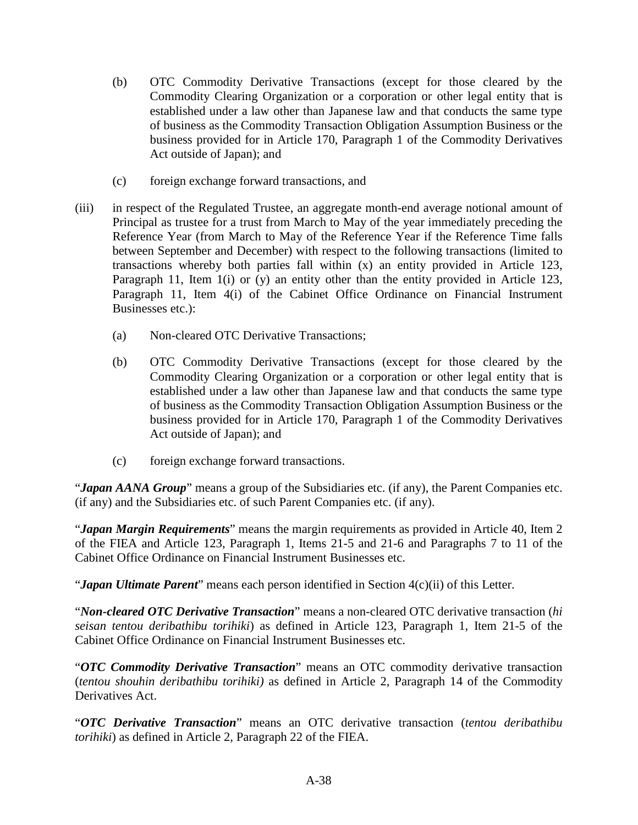- (b) OTC Commodity Derivative Transactions (except for those cleared by the Commodity Clearing Organization or a corporation or other legal entity that is established under a law other than Japanese law and that conducts the same type of business as the Commodity Transaction Obligation Assumption Business or the business provided for in Article 170, Paragraph 1 of the Commodity Derivatives Act outside of Japan); and
- (c) foreign exchange forward transactions, and
- (iii) in respect of the Regulated Trustee, an aggregate month-end average notional amount of Principal as trustee for a trust from March to May of the year immediately preceding the Reference Year (from March to May of the Reference Year if the Reference Time falls between September and December) with respect to the following transactions (limited to transactions whereby both parties fall within (x) an entity provided in Article 123, Paragraph 11, Item 1(i) or (y) an entity other than the entity provided in Article 123, Paragraph 11, Item 4(i) of the Cabinet Office Ordinance on Financial Instrument Businesses etc.):
	- (a) Non-cleared OTC Derivative Transactions;
	- (b) OTC Commodity Derivative Transactions (except for those cleared by the Commodity Clearing Organization or a corporation or other legal entity that is established under a law other than Japanese law and that conducts the same type of business as the Commodity Transaction Obligation Assumption Business or the business provided for in Article 170, Paragraph 1 of the Commodity Derivatives Act outside of Japan); and
	- (c) foreign exchange forward transactions.

"*Japan AANA Group*" means a group of the Subsidiaries etc. (if any), the Parent Companies etc. (if any) and the Subsidiaries etc. of such Parent Companies etc. (if any).

"*Japan Margin Requirements*" means the margin requirements as provided in Article 40, Item 2 of the FIEA and Article 123, Paragraph 1, Items 21-5 and 21-6 and Paragraphs 7 to 11 of the Cabinet Office Ordinance on Financial Instrument Businesses etc.

"*Japan Ultimate Parent*" means each person identified in Section 4(c)(ii) of this Letter.

"*Non-cleared OTC Derivative Transaction*" means a non-cleared OTC derivative transaction (*hi seisan tentou deribathibu torihiki*) as defined in Article 123, Paragraph 1, Item 21-5 of the Cabinet Office Ordinance on Financial Instrument Businesses etc.

"*OTC Commodity Derivative Transaction*" means an OTC commodity derivative transaction (*tentou shouhin deribathibu torihiki)* as defined in Article 2, Paragraph 14 of the Commodity Derivatives Act.

"*OTC Derivative Transaction*" means an OTC derivative transaction (*tentou deribathibu torihiki*) as defined in Article 2, Paragraph 22 of the FIEA.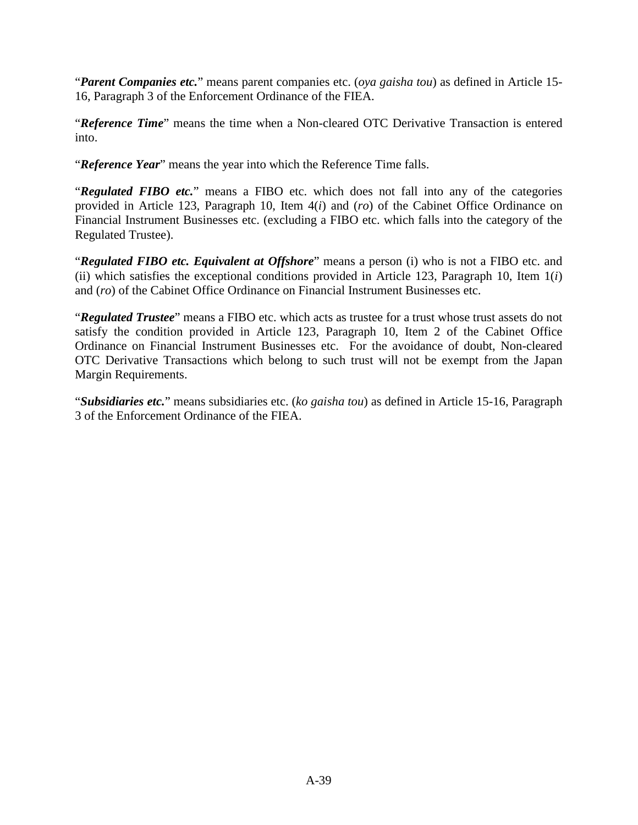"*Parent Companies etc.*" means parent companies etc. (*oya gaisha tou*) as defined in Article 15- 16, Paragraph 3 of the Enforcement Ordinance of the FIEA.

"*Reference Time*" means the time when a Non-cleared OTC Derivative Transaction is entered into.

"*Reference Year*" means the year into which the Reference Time falls.

"*Regulated FIBO etc.*" means a FIBO etc. which does not fall into any of the categories provided in Article 123, Paragraph 10, Item 4(*i*) and (*ro*) of the Cabinet Office Ordinance on Financial Instrument Businesses etc. (excluding a FIBO etc. which falls into the category of the Regulated Trustee).

"*Regulated FIBO etc. Equivalent at Offshore*" means a person (i) who is not a FIBO etc. and (ii) which satisfies the exceptional conditions provided in Article 123, Paragraph 10, Item 1(*i*) and (*ro*) of the Cabinet Office Ordinance on Financial Instrument Businesses etc.

"*Regulated Trustee*" means a FIBO etc. which acts as trustee for a trust whose trust assets do not satisfy the condition provided in Article 123, Paragraph 10, Item 2 of the Cabinet Office Ordinance on Financial Instrument Businesses etc. For the avoidance of doubt, Non-cleared OTC Derivative Transactions which belong to such trust will not be exempt from the Japan Margin Requirements.

"*Subsidiaries etc.*" means subsidiaries etc. (*ko gaisha tou*) as defined in Article 15-16, Paragraph 3 of the Enforcement Ordinance of the FIEA.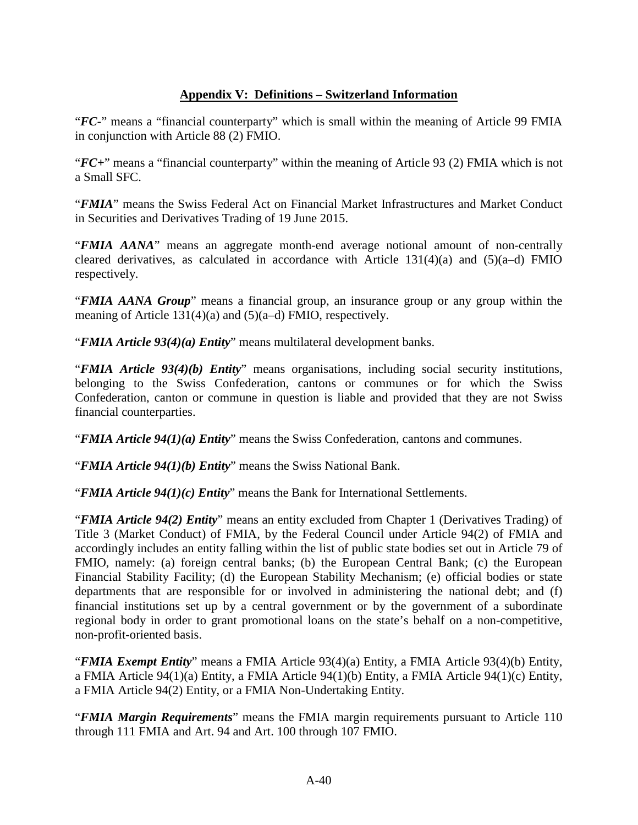# **Appendix V: Definitions – [Switzerland Information](#page-17-0)**

"*FC-*" means a "financial counterparty" which is small within the meaning of Article 99 FMIA in conjunction with Article 88 (2) FMIO.

"*FC+*" means a "financial counterparty" within the meaning of Article 93 (2) FMIA which is not a Small SFC.

"*FMIA*" means the Swiss Federal Act on Financial Market Infrastructures and Market Conduct in Securities and Derivatives Trading of 19 June 2015.

"*FMIA AANA*" means an aggregate month-end average notional amount of non-centrally cleared derivatives, as calculated in accordance with Article  $131(4)(a)$  and  $(5)(a-d)$  FMIO respectively.

"*FMIA AANA Group*" means a financial group, an insurance group or any group within the meaning of Article 131(4)(a) and (5)(a–d) FMIO, respectively.

"*FMIA Article 93(4)(a) Entity*" means multilateral development banks.

"*FMIA Article 93(4)(b) Entity*" means organisations, including social security institutions, belonging to the Swiss Confederation, cantons or communes or for which the Swiss Confederation, canton or commune in question is liable and provided that they are not Swiss financial counterparties.

"*FMIA Article 94(1)(a) Entity*" means the Swiss Confederation, cantons and communes.

"*FMIA Article 94(1)(b) Entity*" means the Swiss National Bank.

"*FMIA Article 94(1)(c) Entity*" means the Bank for International Settlements.

"*FMIA Article 94(2) Entity*" means an entity excluded from Chapter 1 (Derivatives Trading) of Title 3 (Market Conduct) of FMIA, by the Federal Council under Article 94(2) of FMIA and accordingly includes an entity falling within the list of public state bodies set out in Article 79 of FMIO, namely: (a) foreign central banks; (b) the European Central Bank; (c) the European Financial Stability Facility; (d) the European Stability Mechanism; (e) official bodies or state departments that are responsible for or involved in administering the national debt; and (f) financial institutions set up by a central government or by the government of a subordinate regional body in order to grant promotional loans on the state's behalf on a non-competitive, non-profit-oriented basis.

"*FMIA Exempt Entity*" means a FMIA Article 93(4)(a) Entity, a FMIA Article 93(4)(b) Entity, a FMIA Article 94(1)(a) Entity, a FMIA Article 94(1)(b) Entity, a FMIA Article 94(1)(c) Entity, a FMIA Article 94(2) Entity, or a FMIA Non-Undertaking Entity.

"*FMIA Margin Requirements*" means the FMIA margin requirements pursuant to Article 110 through 111 FMIA and Art. 94 and Art. 100 through 107 FMIO.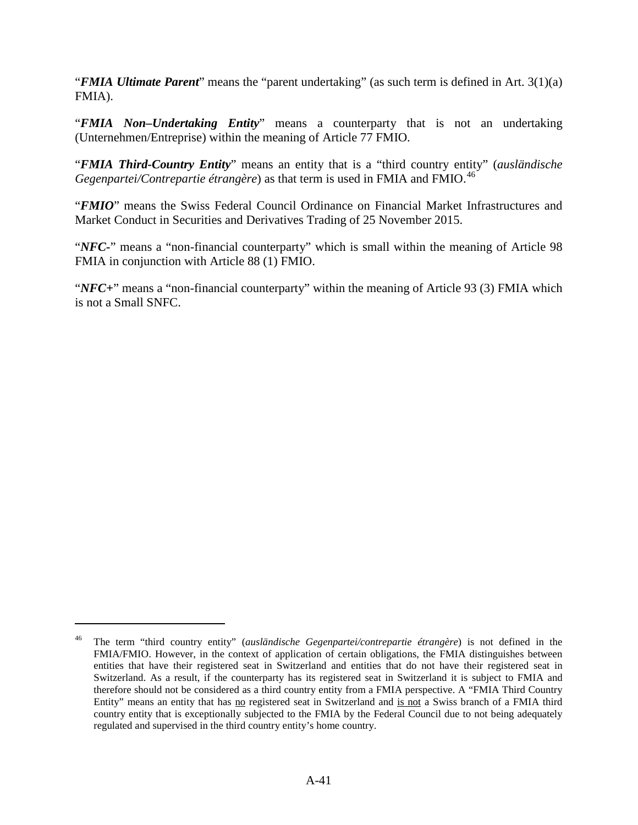"*FMIA Ultimate Parent*" means the "parent undertaking" (as such term is defined in Art. 3(1)(a) FMIA).

"*FMIA Non–Undertaking Entity*" means a counterparty that is not an undertaking (Unternehmen/Entreprise) within the meaning of Article 77 FMIO.

"*FMIA Third-Country Entity*" means an entity that is a "third country entity" (*ausländische Gegenpartei/Contrepartie étrangère*) as that term is used in FMIA and FMIO. [46](#page-44-0)

"*FMIO*" means the Swiss Federal Council Ordinance on Financial Market Infrastructures and Market Conduct in Securities and Derivatives Trading of 25 November 2015.

"*NFC*-" means a "non-financial counterparty" which is small within the meaning of Article 98 FMIA in conjunction with Article 88 (1) FMIO.

"*NFC+*" means a "non-financial counterparty" within the meaning of Article 93 (3) FMIA which is not a Small SNFC.

<span id="page-44-0"></span><sup>46</sup> The term "third country entity" (*ausländische Gegenpartei/contrepartie étrangère*) is not defined in the FMIA/FMIO. However, in the context of application of certain obligations, the FMIA distinguishes between entities that have their registered seat in Switzerland and entities that do not have their registered seat in Switzerland. As a result, if the counterparty has its registered seat in Switzerland it is subject to FMIA and therefore should not be considered as a third country entity from a FMIA perspective. A "FMIA Third Country Entity" means an entity that has no registered seat in Switzerland and is not a Swiss branch of a FMIA third country entity that is exceptionally subjected to the FMIA by the Federal Council due to not being adequately regulated and supervised in the third country entity's home country.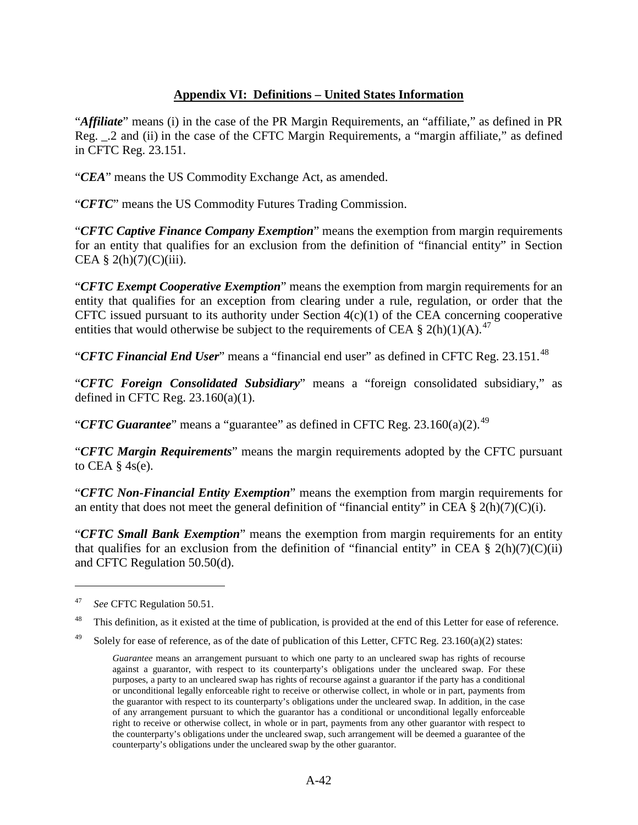# **Appendix VI: Definitions – [United States Information](#page-21-0)**

"*Affiliate*" means (i) in the case of the PR Margin Requirements, an "affiliate," as defined in PR Reg. \_.2 and (ii) in the case of the CFTC Margin Requirements, a "margin affiliate," as defined in CFTC Reg. 23.151.

"*CEA*" means the US Commodity Exchange Act, as amended.

"*CFTC*" means the US Commodity Futures Trading Commission.

"*CFTC Captive Finance Company Exemption*" means the exemption from margin requirements for an entity that qualifies for an exclusion from the definition of "financial entity" in Section CEA § 2(h)(7)(C)(iii).

"*CFTC Exempt Cooperative Exemption*" means the exemption from margin requirements for an entity that qualifies for an exception from clearing under a rule, regulation, or order that the CFTC issued pursuant to its authority under Section 4(c)(1) of the CEA concerning cooperative entities that would otherwise be subject to the requirements of CEA § 2(h)(1)(A).<sup>[47](#page-45-0)</sup>

"*CFTC Financial End User*" means a "financial end user" as defined in CFTC Reg. 23.151.<sup>[48](#page-45-1)</sup>

"*CFTC Foreign Consolidated Subsidiary*" means a "foreign consolidated subsidiary," as defined in CFTC Reg.  $23.160(a)(1)$ .

"*CFTC Guarantee*" means a "guarantee" as defined in CFTC Reg. 23.160(a)(2).<sup>[49](#page-45-2)</sup>

"*CFTC Margin Requirements*" means the margin requirements adopted by the CFTC pursuant to CEA  $\S$  4s(e).

"*CFTC Non-Financial Entity Exemption*" means the exemption from margin requirements for an entity that does not meet the general definition of "financial entity" in CEA  $\S$  2(h)(7)(C)(i).

"*CFTC Small Bank Exemption*" means the exemption from margin requirements for an entity that qualifies for an exclusion from the definition of "financial entity" in CEA  $\S$  2(h)(7)(C)(ii) and CFTC Regulation 50.50(d).

<span id="page-45-0"></span><sup>47</sup> *See* CFTC Regulation 50.51.

<span id="page-45-1"></span><sup>&</sup>lt;sup>48</sup> This definition, as it existed at the time of publication, is provided at the end of this Letter for ease of reference.

<span id="page-45-2"></span><sup>&</sup>lt;sup>49</sup> Solely for ease of reference, as of the date of publication of this Letter, CFTC Reg. 23.160(a)(2) states:

*Guarantee* means an arrangement pursuant to which one party to an uncleared swap has rights of recourse against a guarantor, with respect to its counterparty's obligations under the uncleared swap. For these purposes, a party to an uncleared swap has rights of recourse against a guarantor if the party has a conditional or unconditional legally enforceable right to receive or otherwise collect, in whole or in part, payments from the guarantor with respect to its counterparty's obligations under the uncleared swap. In addition, in the case of any arrangement pursuant to which the guarantor has a conditional or unconditional legally enforceable right to receive or otherwise collect, in whole or in part, payments from any other guarantor with respect to the counterparty's obligations under the uncleared swap, such arrangement will be deemed a guarantee of the counterparty's obligations under the uncleared swap by the other guarantor.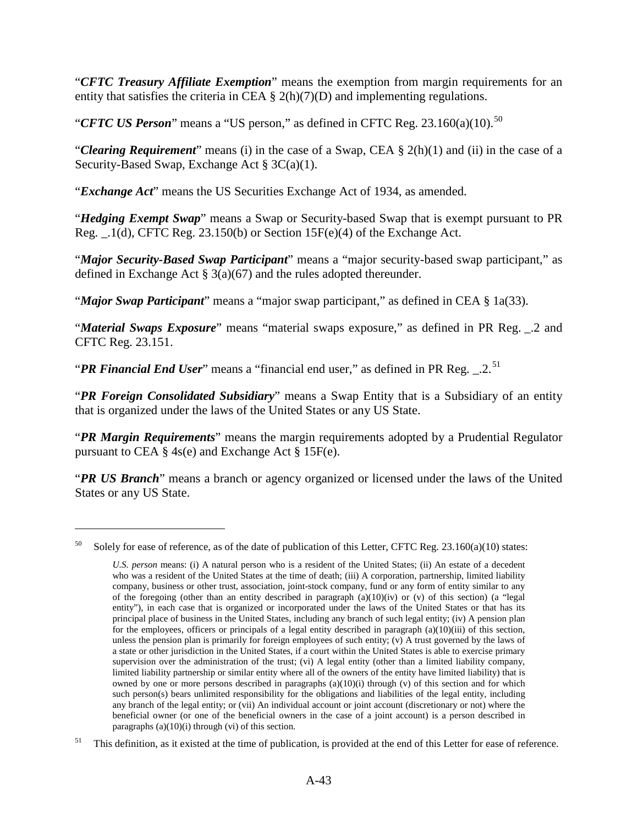"*CFTC Treasury Affiliate Exemption*" means the exemption from margin requirements for an entity that satisfies the criteria in CEA  $\S$  2(h)(7)(D) and implementing regulations.

"*CFTC US Person*" means a "US person," as defined in CFTC Reg. 23.160(a)(10).<sup>[50](#page-46-0)</sup>

"*Clearing Requirement*" means (i) in the case of a Swap, CEA § 2(h)(1) and (ii) in the case of a Security-Based Swap, Exchange Act § 3C(a)(1).

"*Exchange Act*" means the US Securities Exchange Act of 1934, as amended.

"*Hedging Exempt Swap*" means a Swap or Security-based Swap that is exempt pursuant to PR Reg. \_.1(d), CFTC Reg. 23.150(b) or Section 15F(e)(4) of the Exchange Act.

"*Major Security-Based Swap Participant*" means a "major security-based swap participant," as defined in Exchange Act § 3(a)(67) and the rules adopted thereunder.

"*Major Swap Participant*" means a "major swap participant," as defined in CEA § 1a(33).

"*Material Swaps Exposure*" means "material swaps exposure," as defined in PR Reg. \_.2 and CFTC Reg. 23.151.

"**PR Financial End User**" means a "financial end user," as defined in PR Reg. \_.2.<sup>[51](#page-46-1)</sup>

"*PR Foreign Consolidated Subsidiary*" means a Swap Entity that is a Subsidiary of an entity that is organized under the laws of the United States or any US State.

"*PR Margin Requirements*" means the margin requirements adopted by a Prudential Regulator pursuant to CEA  $\S$  4s(e) and Exchange Act  $\S$  15F(e).

"*PR US Branch*" means a branch or agency organized or licensed under the laws of the United States or any US State.

<span id="page-46-0"></span><sup>&</sup>lt;sup>50</sup> Solely for ease of reference, as of the date of publication of this Letter, CFTC Reg. 23.160(a)(10) states:

*U.S. person* means: (i) A natural person who is a resident of the United States; (ii) An estate of a decedent who was a resident of the United States at the time of death; (iii) A corporation, partnership, limited liability company, business or other trust, association, joint-stock company, fund or any form of entity similar to any of the foregoing (other than an entity described in paragraph  $(a)(10)(iv)$  or  $(v)$  of this section) (a "legal entity"), in each case that is organized or incorporated under the laws of the United States or that has its principal place of business in the United States, including any branch of such legal entity; (iv) A pension plan for the employees, officers or principals of a legal entity described in paragraph (a)(10)(iii) of this section, unless the pension plan is primarily for foreign employees of such entity; (v) A trust governed by the laws of a state or other jurisdiction in the United States, if a court within the United States is able to exercise primary supervision over the administration of the trust; (vi) A legal entity (other than a limited liability company, limited liability partnership or similar entity where all of the owners of the entity have limited liability) that is owned by one or more persons described in paragraphs  $(a)(10)(i)$  through (v) of this section and for which such person(s) bears unlimited responsibility for the obligations and liabilities of the legal entity, including any branch of the legal entity; or (vii) An individual account or joint account (discretionary or not) where the beneficial owner (or one of the beneficial owners in the case of a joint account) is a person described in paragraphs  $(a)(10)(i)$  through  $(vi)$  of this section.

<span id="page-46-1"></span><sup>&</sup>lt;sup>51</sup> This definition, as it existed at the time of publication, is provided at the end of this Letter for ease of reference.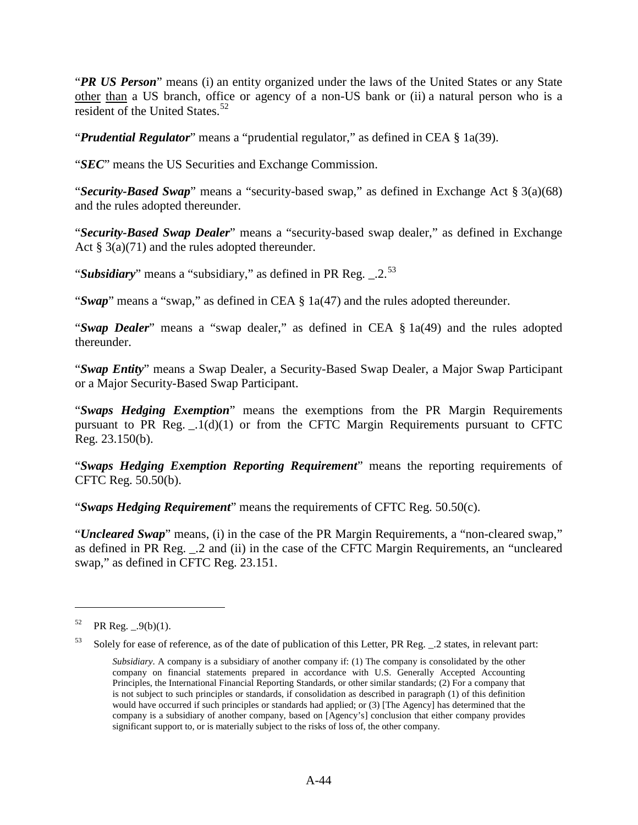"*PR US Person*" means (i) an entity organized under the laws of the United States or any State other than a US branch, office or agency of a non-US bank or (ii) a natural person who is a resident of the United States.<sup>[52](#page-47-0)</sup>

"*Prudential Regulator*" means a "prudential regulator," as defined in CEA § 1a(39).

"*SEC*" means the US Securities and Exchange Commission.

"*Security-Based Swap*" means a "security-based swap," as defined in Exchange Act § 3(a)(68) and the rules adopted thereunder.

"*Security-Based Swap Dealer*" means a "security-based swap dealer," as defined in Exchange Act  $\S 3(a)(71)$  and the rules adopted thereunder.

"*Subsidiary*" means a "subsidiary," as defined in PR Reg. \_2.<sup>[53](#page-47-1)</sup>

"*Swap*" means a "swap," as defined in CEA § 1a(47) and the rules adopted thereunder.

"*Swap Dealer*" means a "swap dealer," as defined in CEA § 1a(49) and the rules adopted thereunder.

"*Swap Entity*" means a Swap Dealer, a Security-Based Swap Dealer, a Major Swap Participant or a Major Security-Based Swap Participant.

"*Swaps Hedging Exemption*" means the exemptions from the PR Margin Requirements pursuant to PR Reg.  $.1(d)(1)$  or from the CFTC Margin Requirements pursuant to CFTC Reg. 23.150(b).

"*Swaps Hedging Exemption Reporting Requirement*" means the reporting requirements of CFTC Reg. 50.50(b).

"*Swaps Hedging Requirement*" means the requirements of CFTC Reg. 50.50(c).

"*Uncleared Swap*" means, (i) in the case of the PR Margin Requirements, a "non-cleared swap," as defined in PR Reg. \_.2 and (ii) in the case of the CFTC Margin Requirements, an "uncleared swap," as defined in CFTC Reg. 23.151.

 $\overline{a}$ 

<span id="page-47-1"></span>53 Solely for ease of reference, as of the date of publication of this Letter, PR Reg. \_.2 states, in relevant part:

<span id="page-47-0"></span> $52$  PR Reg.  $.9(b)(1)$ .

*Subsidiary*. A company is a subsidiary of another company if: (1) The company is consolidated by the other company on financial statements prepared in accordance with U.S. Generally Accepted Accounting Principles, the International Financial Reporting Standards, or other similar standards; (2) For a company that is not subject to such principles or standards, if consolidation as described in paragraph (1) of this definition would have occurred if such principles or standards had applied; or (3) [The Agency] has determined that the company is a subsidiary of another company, based on [Agency's] conclusion that either company provides significant support to, or is materially subject to the risks of loss of, the other company.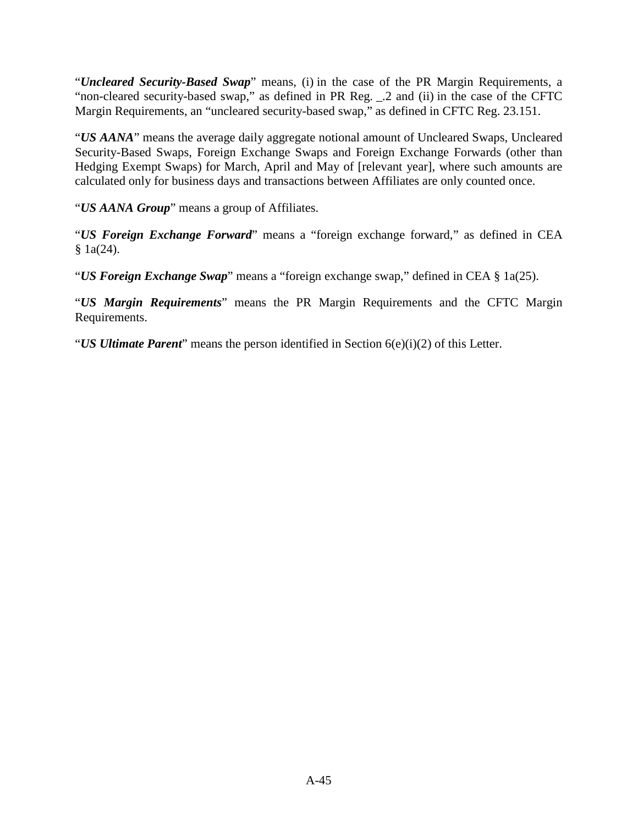"*Uncleared Security-Based Swap*" means, (i) in the case of the PR Margin Requirements, a "non-cleared security-based swap," as defined in PR Reg. \_.2 and (ii) in the case of the CFTC Margin Requirements, an "uncleared security-based swap," as defined in CFTC Reg. 23.151.

"*US AANA*" means the average daily aggregate notional amount of Uncleared Swaps, Uncleared Security-Based Swaps, Foreign Exchange Swaps and Foreign Exchange Forwards (other than Hedging Exempt Swaps) for March, April and May of [relevant year], where such amounts are calculated only for business days and transactions between Affiliates are only counted once.

"*US AANA Group*" means a group of Affiliates.

"*US Foreign Exchange Forward*" means a "foreign exchange forward," as defined in CEA  $§ 1a(24).$ 

"*US Foreign Exchange Swap*" means a "foreign exchange swap," defined in CEA § 1a(25).

"*US Margin Requirements*" means the PR Margin Requirements and the CFTC Margin Requirements.

"*US Ultimate Parent*" means the person identified in Section 6(e)(i)(2) of this Letter.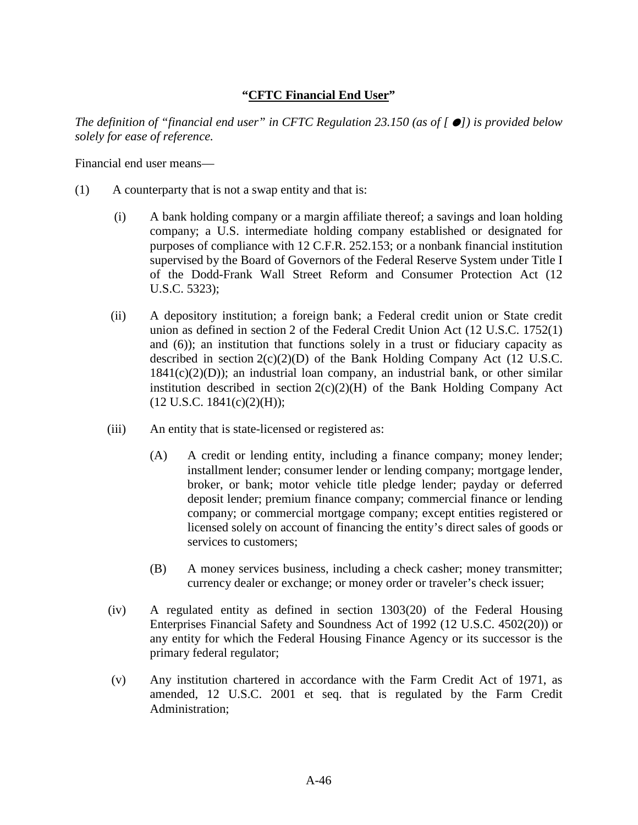#### **"CFTC Financial End User"**

*The definition of "financial end user" in CFTC Regulation 23.150 (as of []) is provided below solely for ease of reference.*

Financial end user means—

- (1) A counterparty that is not a swap entity and that is:
	- (i) A bank holding company or a margin affiliate thereof; a savings and loan holding company; a U.S. intermediate holding company established or designated for purposes of compliance with 12 C.F.R. 252.153; or a nonbank financial institution supervised by the Board of Governors of the Federal Reserve System under Title I of the Dodd-Frank Wall Street Reform and Consumer Protection Act (12 U.S.C. 5323);
	- (ii) A depository institution; a foreign bank; a Federal credit union or State credit union as defined in section 2 of the Federal Credit Union Act (12 U.S.C. 1752(1) and (6)); an institution that functions solely in a trust or fiduciary capacity as described in section  $2(c)(2)(D)$  of the Bank Holding Company Act (12 U.S.C.  $1841(c)(2)(D)$ ; an industrial loan company, an industrial bank, or other similar institution described in section  $2(c)(2)(H)$  of the Bank Holding Company Act  $(12 \text{ U.S.C. } 1841(c)(2)(H));$
	- (iii) An entity that is state-licensed or registered as:
		- (A) A credit or lending entity, including a finance company; money lender; installment lender; consumer lender or lending company; mortgage lender, broker, or bank; motor vehicle title pledge lender; payday or deferred deposit lender; premium finance company; commercial finance or lending company; or commercial mortgage company; except entities registered or licensed solely on account of financing the entity's direct sales of goods or services to customers;
		- (B) A money services business, including a check casher; money transmitter; currency dealer or exchange; or money order or traveler's check issuer;
	- (iv) A regulated entity as defined in section 1303(20) of the Federal Housing Enterprises Financial Safety and Soundness Act of 1992 (12 U.S.C. 4502(20)) or any entity for which the Federal Housing Finance Agency or its successor is the primary federal regulator;
	- (v) Any institution chartered in accordance with the Farm Credit Act of 1971, as amended, 12 U.S.C. 2001 et seq. that is regulated by the Farm Credit Administration;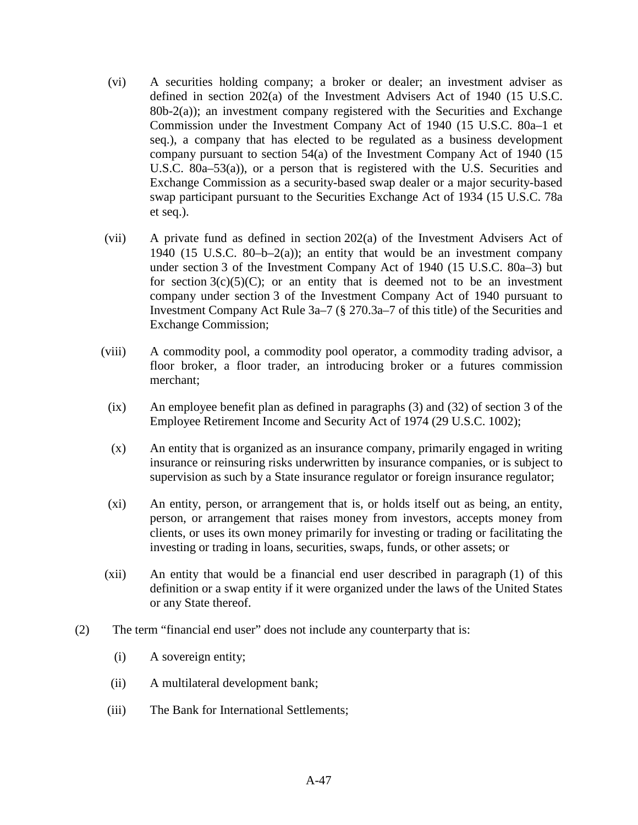- (vi) A securities holding company; a broker or dealer; an investment adviser as defined in section 202(a) of the Investment Advisers Act of 1940 (15 U.S.C. 80b-2(a)); an investment company registered with the Securities and Exchange Commission under the Investment Company Act of 1940 (15 U.S.C. 80a–1 et seq.), a company that has elected to be regulated as a business development company pursuant to section 54(a) of the Investment Company Act of 1940 (15 U.S.C. 80a–53(a)), or a person that is registered with the U.S. Securities and Exchange Commission as a security-based swap dealer or a major security-based swap participant pursuant to the Securities Exchange Act of 1934 (15 U.S.C. 78a et seq.).
- (vii) A private fund as defined in section 202(a) of the Investment Advisers Act of 1940 (15 U.S.C. 80-b-2(a)); an entity that would be an investment company under section 3 of the Investment Company Act of 1940 (15 U.S.C. 80a–3) but for section  $3(c)(5)(C)$ ; or an entity that is deemed not to be an investment company under section 3 of the Investment Company Act of 1940 pursuant to Investment Company Act Rule 3a–7 (§ 270.3a–7 of this title) of the Securities and Exchange Commission;
- (viii) A commodity pool, a commodity pool operator, a commodity trading advisor, a floor broker, a floor trader, an introducing broker or a futures commission merchant;
- (ix) An employee benefit plan as defined in paragraphs (3) and (32) of section 3 of the Employee Retirement Income and Security Act of 1974 (29 U.S.C. 1002);
- (x) An entity that is organized as an insurance company, primarily engaged in writing insurance or reinsuring risks underwritten by insurance companies, or is subject to supervision as such by a State insurance regulator or foreign insurance regulator;
- (xi) An entity, person, or arrangement that is, or holds itself out as being, an entity, person, or arrangement that raises money from investors, accepts money from clients, or uses its own money primarily for investing or trading or facilitating the investing or trading in loans, securities, swaps, funds, or other assets; or
- (xii) An entity that would be a financial end user described in paragraph (1) of this definition or a swap entity if it were organized under the laws of the United States or any State thereof.
- (2) The term "financial end user" does not include any counterparty that is:
	- (i) A sovereign entity;
	- (ii) A multilateral development bank;
	- (iii) The Bank for International Settlements;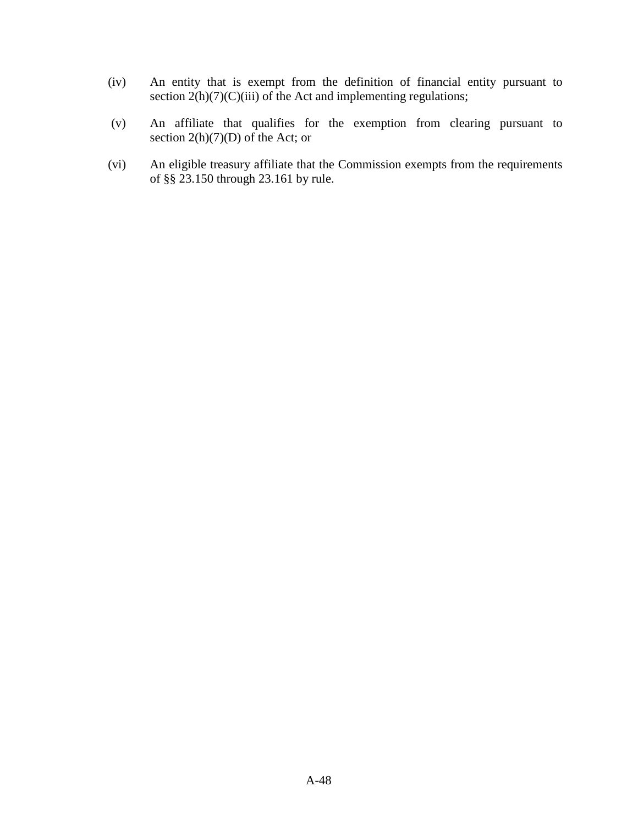- (iv) An entity that is exempt from the definition of financial entity pursuant to section  $2(h)(7)(C)(iii)$  of the Act and implementing regulations;
- (v) An affiliate that qualifies for the exemption from clearing pursuant to section  $2(h)(7)(D)$  of the Act; or
- (vi) An eligible treasury affiliate that the Commission exempts from the requirements of §§ 23.150 through 23.161 by rule.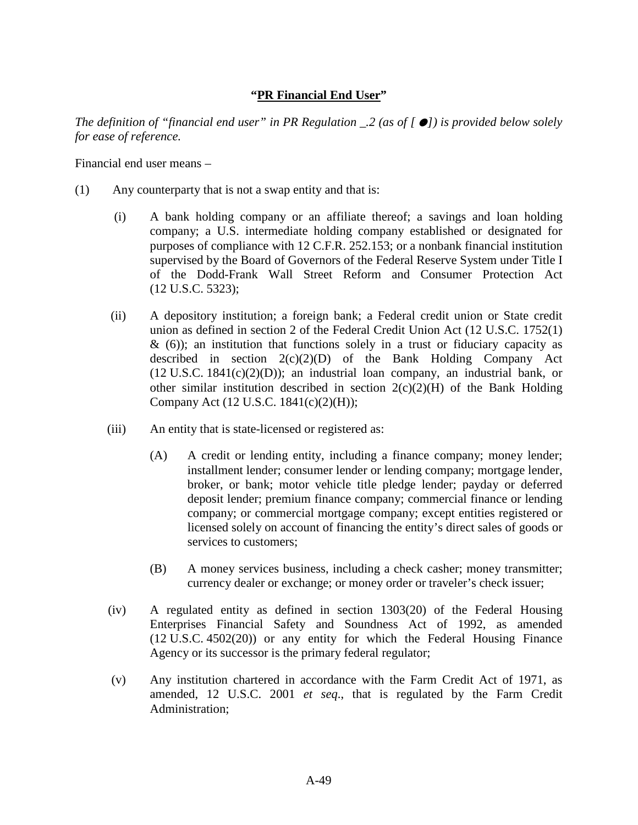### **"PR Financial End User"**

*The definition of "financial end user" in PR Regulation \_.2 (as of []) is provided below solely for ease of reference.*

Financial end user means –

- (1) Any counterparty that is not a swap entity and that is:
	- (i) A bank holding company or an affiliate thereof; a savings and loan holding company; a U.S. intermediate holding company established or designated for purposes of compliance with 12 C.F.R. 252.153; or a nonbank financial institution supervised by the Board of Governors of the Federal Reserve System under Title I of the Dodd-Frank Wall Street Reform and Consumer Protection Act (12 U.S.C. 5323);
	- (ii) A depository institution; a foreign bank; a Federal credit union or State credit union as defined in section 2 of the Federal Credit Union Act (12 U.S.C. 1752(1)  $\&$  (6)); an institution that functions solely in a trust or fiduciary capacity as described in section  $2(c)(2)(D)$  of the Bank Holding Company Act  $(12 \text{ U.S.C. } 1841(c)(2)(D))$ ; an industrial loan company, an industrial bank, or other similar institution described in section  $2(c)(2)(H)$  of the Bank Holding Company Act (12 U.S.C. 1841(c)(2)(H));
	- (iii) An entity that is state-licensed or registered as:
		- (A) A credit or lending entity, including a finance company; money lender; installment lender; consumer lender or lending company; mortgage lender, broker, or bank; motor vehicle title pledge lender; payday or deferred deposit lender; premium finance company; commercial finance or lending company; or commercial mortgage company; except entities registered or licensed solely on account of financing the entity's direct sales of goods or services to customers;
		- (B) A money services business, including a check casher; money transmitter; currency dealer or exchange; or money order or traveler's check issuer;
	- (iv) A regulated entity as defined in section 1303(20) of the Federal Housing Enterprises Financial Safety and Soundness Act of 1992, as amended (12 U.S.C. 4502(20)) or any entity for which the Federal Housing Finance Agency or its successor is the primary federal regulator;
	- (v) Any institution chartered in accordance with the Farm Credit Act of 1971, as amended, 12 U.S.C. 2001 *et seq*., that is regulated by the Farm Credit Administration;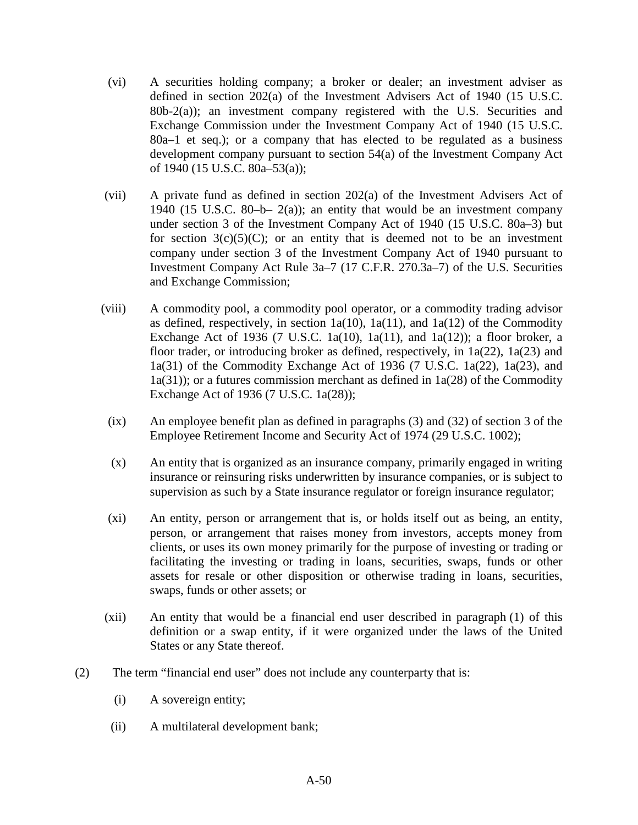- (vi) A securities holding company; a broker or dealer; an investment adviser as defined in section 202(a) of the Investment Advisers Act of 1940 (15 U.S.C.  $80b-2(a)$ ; an investment company registered with the U.S. Securities and Exchange Commission under the Investment Company Act of 1940 (15 U.S.C. 80a–1 et seq.); or a company that has elected to be regulated as a business development company pursuant to section 54(a) of the Investment Company Act of 1940 (15 U.S.C. 80a–53(a));
- (vii) A private fund as defined in section 202(a) of the Investment Advisers Act of 1940 (15 U.S.C. 80-b-  $2(a)$ ); an entity that would be an investment company under section 3 of the Investment Company Act of 1940 (15 U.S.C. 80a–3) but for section  $3(c)(5)(C)$ ; or an entity that is deemed not to be an investment company under section 3 of the Investment Company Act of 1940 pursuant to Investment Company Act Rule 3a–7 (17 C.F.R. 270.3a–7) of the U.S. Securities and Exchange Commission;
- (viii) A commodity pool, a commodity pool operator, or a commodity trading advisor as defined, respectively, in section  $1a(10)$ ,  $1a(11)$ , and  $1a(12)$  of the Commodity Exchange Act of 1936 (7 U.S.C. 1a(10), 1a(11), and 1a(12)); a floor broker, a floor trader, or introducing broker as defined, respectively, in 1a(22), 1a(23) and 1a(31) of the Commodity Exchange Act of 1936 (7 U.S.C. 1a(22), 1a(23), and 1a(31)); or a futures commission merchant as defined in 1a(28) of the Commodity Exchange Act of 1936 (7 U.S.C. 1a(28));
	- (ix) An employee benefit plan as defined in paragraphs (3) and (32) of section 3 of the Employee Retirement Income and Security Act of 1974 (29 U.S.C. 1002);
	- (x) An entity that is organized as an insurance company, primarily engaged in writing insurance or reinsuring risks underwritten by insurance companies, or is subject to supervision as such by a State insurance regulator or foreign insurance regulator;
	- (xi) An entity, person or arrangement that is, or holds itself out as being, an entity, person, or arrangement that raises money from investors, accepts money from clients, or uses its own money primarily for the purpose of investing or trading or facilitating the investing or trading in loans, securities, swaps, funds or other assets for resale or other disposition or otherwise trading in loans, securities, swaps, funds or other assets; or
- (xii) An entity that would be a financial end user described in paragraph (1) of this definition or a swap entity, if it were organized under the laws of the United States or any State thereof.
- (2) The term "financial end user" does not include any counterparty that is:
	- (i) A sovereign entity;
	- (ii) A multilateral development bank;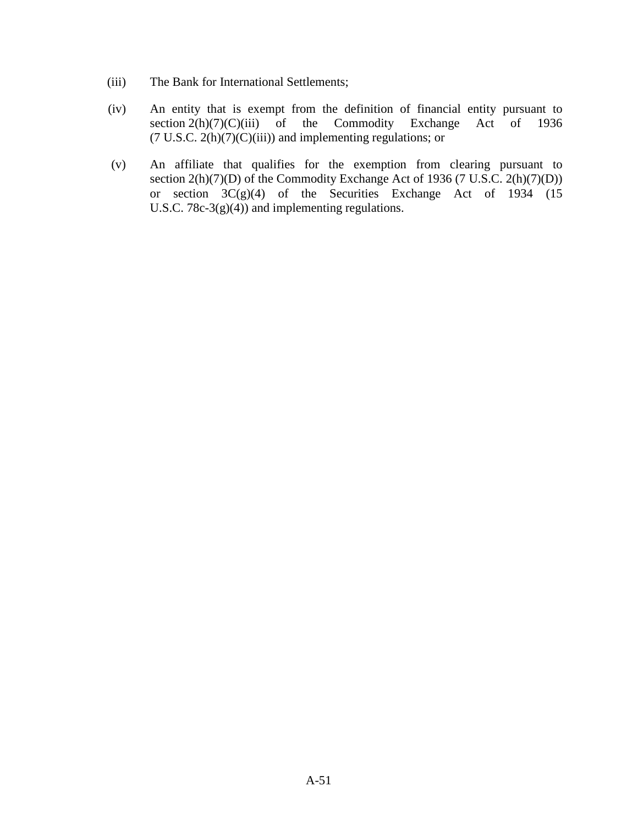- (iii) The Bank for International Settlements;
- (iv) An entity that is exempt from the definition of financial entity pursuant to section  $2(h)(7)(C)(iii)$  of the Commodity Exchange Act of 1936 section  $2(h)(7)(C)(iii)$  of the Commodity Exchange  $(7 \text{ U.S.C. } 2(h)(7)(C)(iii))$  and implementing regulations; or
- (v) An affiliate that qualifies for the exemption from clearing pursuant to section  $2(h)(7)(D)$  of the Commodity Exchange Act of 1936 (7 U.S.C.  $2(h)(7)(D)$ ) or section  $3C(g)(4)$  of the Securities Exchange Act of 1934 (15) U.S.C. 78c-3 $(g)(4)$  and implementing regulations.